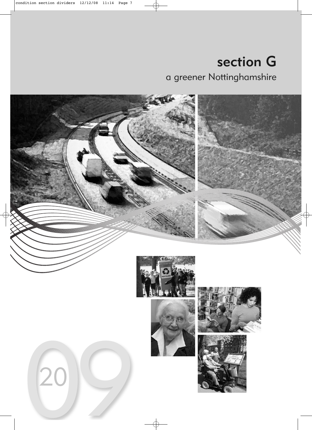# section G a greener Nottinghamshire

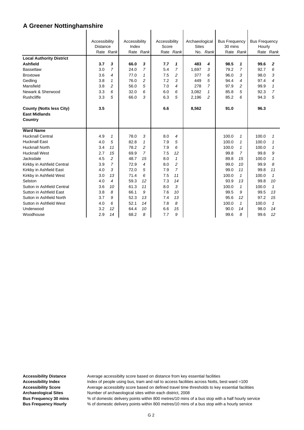|                                 | Accessibility   |                | Accessibility |                   | Accessibility |                     | Archaeological |                | <b>Bus Frequency</b> |                              | <b>Bus Frequency</b> |              |
|---------------------------------|-----------------|----------------|---------------|-------------------|---------------|---------------------|----------------|----------------|----------------------|------------------------------|----------------------|--------------|
|                                 | <b>Distance</b> |                | Index         |                   | Score         |                     | <b>Sites</b>   |                | 30 mins              |                              | Hourly               |              |
|                                 |                 | Rate Rank      |               | Rate Rank         |               | Rate Rank           |                | No. Rank       |                      | Rate Rank                    |                      | Rate Rank    |
| <b>Local Authority District</b> |                 |                |               |                   |               |                     |                |                |                      |                              |                      |              |
| <b>Ashfield</b>                 | 3.7             | 3              | 66.0          | 3                 | 7.7           | 1                   | 483            | 4              | 98.5                 | 1                            | 99.6                 | 2            |
| <b>Bassetlaw</b>                | 3.0             | $\overline{7}$ | 24.0          | 7                 | 5.4           | $\overline{7}$      | 1,697          | 3              | 79.2                 | 7                            | 92.7                 | 6            |
| <b>Broxtowe</b>                 | 3.6             | 4              | 77.0          | $\mathbf{1}$      | 7.5           | 2                   | 377            | 6              | 96.0                 | 3                            | 98.0                 | 3            |
| Gedling                         | 3.8             | $\mathbf{1}$   | 76.0          | $\overline{c}$    | 7.2           | 3                   | 449            | 5              | 94.4                 | 4                            | 97.4                 | 4            |
| Mansfield                       | 3.8             | 2              | 56.0          | 5                 | 7.0           | 4                   | 278            | $\overline{7}$ | 97.9                 | 2                            | 99.9                 | $\mathbf{1}$ |
| Newark & Sherwood               | 3.3             | 6              | 32.0          | 6                 | 6.0           | 6                   | 3,082          | 1              | 85.8                 | 5                            | 92.3                 | 7            |
| Rushcliffe                      | 3.3             | 5              | 66.0          | 3                 | 6.3           | 5                   | 2,196          | $\overline{c}$ | 85.2                 | 6                            | 94.3                 | 5            |
| <b>County (Notts less City)</b> | 3.5             |                |               |                   | 6.6           |                     | 8,562          |                | 91.0                 |                              | 96.3                 |              |
| <b>East Midlands</b>            |                 |                |               |                   |               |                     |                |                |                      |                              |                      |              |
| Country                         |                 |                |               |                   |               |                     |                |                |                      |                              |                      |              |
| <b>Ward Name</b>                |                 |                |               |                   |               |                     |                |                |                      |                              |                      |              |
| <b>Hucknall Central</b>         |                 |                | 78.0          |                   |               |                     |                |                | 100.0                |                              |                      |              |
| <b>Hucknall East</b>            | 4.9             | 1              | 82.8          | 3<br>$\mathbf{1}$ | 8.0<br>7.9    | 4                   |                |                | 100.0                | 1                            | 100.0<br>100.0       | 1            |
| <b>Hucknall North</b>           | 4.0<br>3.4      | 5<br>11        | 78.2          | $\overline{2}$    | 7.9           | 5<br>6              |                |                | 100.0                | $\mathbf{1}$<br>$\mathbf{1}$ | 100.0                | 1            |
|                                 |                 |                |               | $\overline{7}$    |               |                     |                |                |                      |                              |                      | 1            |
| <b>Hucknall West</b>            | 2.7             | 15             | 69.9          |                   | 7.5           | 12                  |                |                | 99.8                 | $\overline{7}$               | 99.8                 | 9            |
| Jacksdale                       | 4.5             | 2              | 48.7          | 15                | 8.0           | 1                   |                |                | 89.8                 | 15                           | 100.0                | 1            |
| Kirkby in Ashfield Central      | 3.9             | $\overline{7}$ | 72.9          | $\overline{4}$    | 8.0           | 2<br>$\overline{7}$ |                |                | 99.0                 | 10                           | 99.9                 | 8            |
| Kirkby in Ashfield East         | 4.0             | 3              | 72.0          | 5                 | 7.9           |                     |                |                | 99.0                 | 11                           | 99.8                 | 11           |
| Kirkby in Ashfield West         | 3.0             | 13<br>4        | 71.4          | 6                 | 7.5           | 11                  |                |                | 100.0                | $\mathbf{1}$                 | 100.0                | $\mathbf{1}$ |
| Selston                         | 4.0             |                | 59.3          | 12                | 7.3           | 14                  |                |                | 93.9                 | 13                           | 99.8                 | 10           |
| Sutton in Ashfield Central      | 3.6             | 10             | 61.3          | 11                | 8.0           | 3                   |                |                | 100.0                | $\mathbf{1}$                 | 100.0                | $\mathbf{1}$ |
| Sutton in Ashfield East         | 3.8             | 8              | 66.1          | 9                 | 7.6           | 10                  |                |                | 99.5                 | 9                            | 99.5                 | 13           |
| Sutton in Ashfield North        | 3.7             | 9              | 52.3          | 13                | 7.4           | 13                  |                |                | 95.6                 | 12                           | 97.2                 | 15           |
| Sutton in Ashfield West         | 4.0             | 6              | 52.1          | 14                | 7.8           | 8                   |                |                | 100.0                | $\mathbf{1}$                 | 100.0                | $\mathbf{1}$ |
| Underwood                       | 3.2             | 12             | 64.4          | 10                | 6.6           | 15                  |                |                | 90.0                 | 14                           | 98.0                 | 14           |
| Woodhouse                       | 2.9             | 14             | 68.2          | 8                 | 7.7           | 9                   |                |                | 99.6                 | 8                            | 99.6                 | 12           |

Accessibility Distance **Average accessibilty score based on distance from key essential facilities** Accessibility Index **Index** Index of people using bus, tram and rail to access facilities across Notts, best ward =100 Accessibility Score **Average accessibilty score based on defined travel time thresholds to key essential facilities Archaeological Sites** Number of archaeological sites within each district, 2008 **Bus Frequency 30 mins** % of domestic delivery points within 800 metres/10 mins of a bus stop with a half hourly service **Bus Frequency Hourly** % of domestic delivery points within 800 metres/10 mins of a bus stop with a hourly service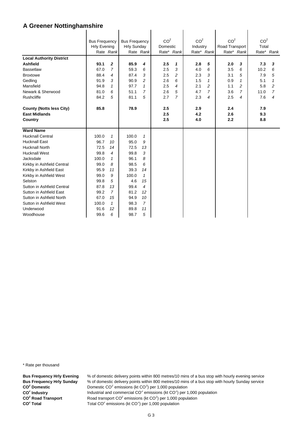|                                 | <b>Bus Frequency</b> |                | <b>Bus Frequency</b> |                          | CO <sup>2</sup> |                | CO <sup>2</sup> |                | CO <sup>2</sup> |                | CO <sup>2</sup> |                |
|---------------------------------|----------------------|----------------|----------------------|--------------------------|-----------------|----------------|-----------------|----------------|-----------------|----------------|-----------------|----------------|
|                                 | <b>Hrly Evening</b>  |                | <b>Hrly Sunday</b>   |                          | Domestic        |                | Industry        |                | Road Transport  |                | Total           |                |
|                                 |                      | Rate Rank      |                      | Rate Rank                |                 | Rate* Rank     |                 | Rate* Rank     |                 | Rate* Rank     |                 | Rate* Rank     |
| <b>Local Authority District</b> |                      |                |                      |                          |                 |                |                 |                |                 |                |                 |                |
| <b>Ashfield</b>                 | 93.1                 | $\mathbf 2$    | 85.9                 | 4                        | 2.5             | 1              | 2.8             | 5              | 2.0             | 3              | 7.3             | 3              |
| <b>Bassetlaw</b>                | 67.0                 | 7              | 59.3                 | 6                        | 2.5             | 3              | 4.0             | 6              | 3.5             | 6              | 10.2            | 6              |
| <b>Broxtowe</b>                 | 88.4                 | 4              | 87.4                 | 3                        | 2.5             | 2              | 2.3             | 3              | 3.1             | 5              | 7.9             | 5              |
| Gedling                         | 91.9                 | 3              | 90.9                 | $\overline{c}$           | 2.6             | 6              | 1.5             | 1              | 0.9             | 1              | 5.1             | $\mathbf{1}$   |
| Mansfield                       | 94.8                 | $\mathbf{1}$   | 97.7                 | $\mathbf{1}$             | 2.5             | $\overline{4}$ | 2.1             | $\overline{a}$ | 1.1             | $\overline{c}$ | 5.8             | $\overline{c}$ |
| Newark & Sherwood               | 81.0                 | 6              | 51.1                 | $\overline{7}$           | 2.6             | 5              | 4.7             | 7              | 3.6             | $\overline{7}$ | 11.0            | $\overline{7}$ |
| <b>Rushcliffe</b>               | 84.2                 | 5              | 81.1                 | 5                        | 2.7             | $\overline{7}$ | 2.3             | 4              | 2.5             | 4              | 7.6             | 4              |
| <b>County (Notts less City)</b> | 85.8                 |                | 78.9                 |                          | 2.5             |                | 2.9             |                | 2.4             |                | 7.9             |                |
| <b>East Midlands</b>            |                      |                |                      |                          | 2.5             |                | 4.2             |                | 2.6             |                | 9.3             |                |
| Country                         |                      |                |                      |                          | 2.5             |                | 4.0             |                | 2.2             |                | 8.8             |                |
|                                 |                      |                |                      |                          |                 |                |                 |                |                 |                |                 |                |
| <b>Ward Name</b>                |                      |                |                      |                          |                 |                |                 |                |                 |                |                 |                |
| <b>Hucknall Central</b>         | 100.0                | $\mathcal I$   | 100.0                | $\mathbf{1}$             |                 |                |                 |                |                 |                |                 |                |
| <b>Hucknall East</b>            | 96.7                 | 10             | 95.0                 | 9                        |                 |                |                 |                |                 |                |                 |                |
| <b>Hucknall North</b>           | 72.5                 | 14             | 72.5                 | 13                       |                 |                |                 |                |                 |                |                 |                |
| <b>Hucknall West</b>            | 99.8                 | 4              | 99.8                 | 3                        |                 |                |                 |                |                 |                |                 |                |
| Jacksdale                       | 100.0                | $\mathbf{1}$   | 96.1                 | 8                        |                 |                |                 |                |                 |                |                 |                |
| Kirkby in Ashfield Central      | 99.0                 | 8              | 98.5                 | 6                        |                 |                |                 |                |                 |                |                 |                |
| Kirkby in Ashfield East         | 95.9                 | 11             | 39.3                 | 14                       |                 |                |                 |                |                 |                |                 |                |
| Kirkby in Ashfield West         | 99.0                 | 9              | 100.0                | $\mathbf{1}$             |                 |                |                 |                |                 |                |                 |                |
| Selston                         | 99.8                 | 5              | 4.6                  | 15                       |                 |                |                 |                |                 |                |                 |                |
| Sutton in Ashfield Central      | 87.8                 | 13             | 99.4                 | $\overline{\mathcal{A}}$ |                 |                |                 |                |                 |                |                 |                |
| Sutton in Ashfield East         | 99.2                 | $\overline{7}$ | 81.2                 | 12                       |                 |                |                 |                |                 |                |                 |                |
| Sutton in Ashfield North        | 67.0                 | 15             | 94.9                 | 10                       |                 |                |                 |                |                 |                |                 |                |
| Sutton in Ashfield West         | 100.0                | $\mathbf{1}$   | 98.3                 | $\overline{7}$           |                 |                |                 |                |                 |                |                 |                |
| Underwood                       | 91.6                 | 12             | 89.8                 | 11                       |                 |                |                 |                |                 |                |                 |                |
| Woodhouse                       | 99.6                 | 6              | 98.7                 | 5                        |                 |                |                 |                |                 |                |                 |                |

\* Rate per thousand

**CO2 CO2 CO<sup>2</sup> Road Transport** CO<sup>2</sup> Total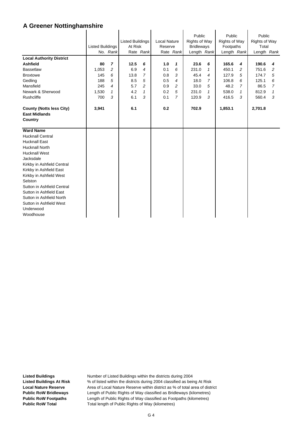|                                                                    | <b>Listed Buildings</b> | No. Rank       | <b>Listed Buildings</b><br>At Risk | Rate Rank      | <b>Local Nature</b><br>Reserve | Rate Rank      | Public<br><b>Rights of Way</b><br><b>Bridleways</b><br>Length Rank |   | Public<br><b>Rights of Way</b><br>Footpaths<br>Length Rank |                | Public<br><b>Rights of Way</b><br>Total<br>Length Rank |                |
|--------------------------------------------------------------------|-------------------------|----------------|------------------------------------|----------------|--------------------------------|----------------|--------------------------------------------------------------------|---|------------------------------------------------------------|----------------|--------------------------------------------------------|----------------|
| <b>Local Authority District</b>                                    |                         |                |                                    |                |                                |                |                                                                    |   |                                                            |                |                                                        |                |
| <b>Ashfield</b>                                                    | 80                      | $\overline{ }$ | 12.5                               | 6              | 1.0                            | 1              | 23.6                                                               | 6 | 165.6                                                      | 4              | 190.6                                                  | 4              |
| <b>Bassetlaw</b>                                                   | 1,053                   | $\overline{c}$ | 6.9                                | $\overline{4}$ | 0.1                            | 6              | 231.0                                                              | 1 | 450.1                                                      | 2              | 751.6                                                  | 2              |
| <b>Broxtowe</b>                                                    | 145                     | 6              | 13.8                               | 7              | 0.8                            | 3              | 45.4                                                               | 4 | 127.9                                                      | 5              | 174.7                                                  | 5              |
| Gedling                                                            | 188                     | 5              | 8.5                                | 5              | 0.5                            | $\overline{4}$ | 18.0                                                               | 7 | 106.8                                                      | 6              | 125.1                                                  | 6              |
| Mansfield                                                          | 245                     | $\overline{4}$ | 5.7                                | $\overline{c}$ | 0.9                            | 2              | 33.0                                                               | 5 | 48.2                                                       | $\overline{7}$ | 86.5                                                   | $\overline{7}$ |
| Newark & Sherwood                                                  | 1,530                   | 1              | 4.2                                | 1              | 0.2                            | 5              | 231.0                                                              | 1 | 538.0                                                      | 1              | 812.9                                                  | 1              |
| Rushcliffe                                                         | 700                     | 3              | 6.1                                | 3              | 0.1                            | $\overline{7}$ | 120.9                                                              | 3 | 416.5                                                      | 3              | 560.4                                                  | 3              |
| <b>County (Notts less City)</b><br><b>East Midlands</b><br>Country | 3,941                   |                | 6.1                                |                | 0.2                            |                | 702.9                                                              |   | 1,853.1                                                    |                | 2,701.8                                                |                |
| <b>Ward Name</b>                                                   |                         |                |                                    |                |                                |                |                                                                    |   |                                                            |                |                                                        |                |
| <b>Hucknall Central</b>                                            |                         |                |                                    |                |                                |                |                                                                    |   |                                                            |                |                                                        |                |
| <b>Hucknall East</b>                                               |                         |                |                                    |                |                                |                |                                                                    |   |                                                            |                |                                                        |                |
| <b>Hucknall North</b>                                              |                         |                |                                    |                |                                |                |                                                                    |   |                                                            |                |                                                        |                |
| <b>Hucknall West</b>                                               |                         |                |                                    |                |                                |                |                                                                    |   |                                                            |                |                                                        |                |
| Jacksdale                                                          |                         |                |                                    |                |                                |                |                                                                    |   |                                                            |                |                                                        |                |
| Kirkby in Ashfield Central                                         |                         |                |                                    |                |                                |                |                                                                    |   |                                                            |                |                                                        |                |
| Kirkby in Ashfield East                                            |                         |                |                                    |                |                                |                |                                                                    |   |                                                            |                |                                                        |                |
| Kirkby in Ashfield West                                            |                         |                |                                    |                |                                |                |                                                                    |   |                                                            |                |                                                        |                |
| Selston                                                            |                         |                |                                    |                |                                |                |                                                                    |   |                                                            |                |                                                        |                |
| Sutton in Ashfield Central                                         |                         |                |                                    |                |                                |                |                                                                    |   |                                                            |                |                                                        |                |
| Sutton in Ashfield East                                            |                         |                |                                    |                |                                |                |                                                                    |   |                                                            |                |                                                        |                |
| Sutton in Ashfield North                                           |                         |                |                                    |                |                                |                |                                                                    |   |                                                            |                |                                                        |                |
| Sutton in Ashfield West                                            |                         |                |                                    |                |                                |                |                                                                    |   |                                                            |                |                                                        |                |
| Underwood                                                          |                         |                |                                    |                |                                |                |                                                                    |   |                                                            |                |                                                        |                |
| Woodhouse                                                          |                         |                |                                    |                |                                |                |                                                                    |   |                                                            |                |                                                        |                |

l.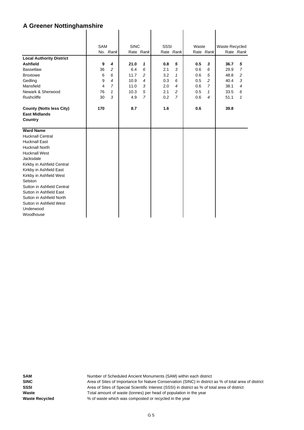|                                 | <b>SAM</b> |                | <b>SINC</b> |                | SSSI |                | Waste |                | Waste Recycled |                |
|---------------------------------|------------|----------------|-------------|----------------|------|----------------|-------|----------------|----------------|----------------|
|                                 |            | No. Rank       |             | Rate Rank      |      | Rate Rank      |       | Rate Rank      |                | Rate Rank      |
| <b>Local Authority District</b> |            |                |             |                |      |                |       |                |                |                |
| <b>Ashfield</b>                 | 9          | 4              | 21.0        | 1              | 0.8  | 5              | 0.5   | 3              | 36.7           | 5              |
| <b>Bassetlaw</b>                | 36         | 2              | 6.4         | 6              | 2.1  | 3              | 0.6   | 6              | 29.9           | $\overline{7}$ |
| <b>Broxtowe</b>                 | 6          | 6              | 11.7        | 2              | 3.2  | 1              | 0.6   | 5              | 48.8           | 2              |
| Gedling                         | 9          | $\overline{4}$ | 10.9        | 4              | 0.3  | 6              | 0.5   | $\overline{c}$ | 40.4           | 3              |
| Mansfield                       | 4          | $\overline{7}$ | 11.0        | 3              | 2.0  | $\overline{4}$ | 0.6   | $\overline{7}$ | 38.1           | $\overline{4}$ |
| Newark & Sherwood               | 76         | 1              | 10.3        | 5              | 2.1  | 2              | 0.5   | $\mathbf{1}$   | 33.5           | 6              |
| Rushcliffe                      | 30         | 3              | 4.9         | $\overline{7}$ | 0.2  | $\overline{7}$ | 0.6   | $\overline{4}$ | 51.1           | 1              |
|                                 |            |                |             |                |      |                |       |                |                |                |
| <b>County (Notts less City)</b> | 170        |                | 8.7         |                | 1.6  |                | 0.6   |                | 39.8           |                |
| <b>East Midlands</b>            |            |                |             |                |      |                |       |                |                |                |
| <b>Country</b>                  |            |                |             |                |      |                |       |                |                |                |
|                                 |            |                |             |                |      |                |       |                |                |                |
| <b>Ward Name</b>                |            |                |             |                |      |                |       |                |                |                |
| <b>Hucknall Central</b>         |            |                |             |                |      |                |       |                |                |                |
| <b>Hucknall East</b>            |            |                |             |                |      |                |       |                |                |                |
| <b>Hucknall North</b>           |            |                |             |                |      |                |       |                |                |                |
| <b>Hucknall West</b>            |            |                |             |                |      |                |       |                |                |                |
| Jacksdale                       |            |                |             |                |      |                |       |                |                |                |
| Kirkby in Ashfield Central      |            |                |             |                |      |                |       |                |                |                |
| Kirkby in Ashfield East         |            |                |             |                |      |                |       |                |                |                |
| Kirkby in Ashfield West         |            |                |             |                |      |                |       |                |                |                |
| Selston                         |            |                |             |                |      |                |       |                |                |                |
| Sutton in Ashfield Central      |            |                |             |                |      |                |       |                |                |                |
| Sutton in Ashfield East         |            |                |             |                |      |                |       |                |                |                |
| Sutton in Ashfield North        |            |                |             |                |      |                |       |                |                |                |
| Sutton in Ashfield West         |            |                |             |                |      |                |       |                |                |                |
| Underwood                       |            |                |             |                |      |                |       |                |                |                |
|                                 |            |                |             |                |      |                |       |                |                |                |
| Woodhouse                       |            |                |             |                |      |                |       |                |                |                |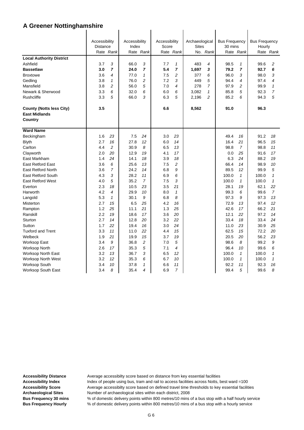|                                                         | Accessibility<br>Distance |                | Accessibility<br>Index |                | Accessibility<br>Score |                | Archaeological<br><b>Sites</b> |                | <b>Bus Frequency</b><br>30 mins |              | <b>Bus Frequency</b><br>Hourly |                |
|---------------------------------------------------------|---------------------------|----------------|------------------------|----------------|------------------------|----------------|--------------------------------|----------------|---------------------------------|--------------|--------------------------------|----------------|
|                                                         | Rate Rank                 |                |                        | Rate Rank      |                        | Rate Rank      |                                | No. Rank       |                                 | Rate Rank    |                                | Rate Rank      |
| <b>Local Authority District</b>                         |                           |                |                        |                |                        |                |                                |                |                                 |              |                                |                |
| Ashfield                                                | 3.7                       | 3              | 66.0                   | 3              | 7.7                    | $\mathbf{1}$   | 483                            | $\overline{4}$ | 98.5                            | $\mathbf 1$  | 99.6                           | 2              |
| <b>Bassetlaw</b>                                        | 3.0                       | $\overline{7}$ | 24.0                   | 7              | 5.4                    | $\overline{ }$ | 1,697                          | 3              | 79.2                            | 7            | 92.7                           | 6              |
| <b>Broxtowe</b>                                         | 3.6                       | $\overline{4}$ | 77.0                   | 1              | 7.5                    | 2              | 377                            | 6              | 96.0                            | 3            | 98.0                           | 3              |
| Gedling                                                 | 3.8                       | $\mathbf{1}$   | 76.0                   | $\overline{c}$ | 7.2                    | 3              | 449                            | 5              | 94.4                            | 4            | 97.4                           | 4              |
| Mansfield                                               | 3.8                       | $\overline{c}$ | 56.0                   | 5              | 7.0                    | 4              | 278                            | $\overline{7}$ | 97.9                            | 2            | 99.9                           | $\mathbf{1}$   |
| Newark & Sherwood                                       | 3.3                       | 6              | 32.0                   | 6              | 6.0                    | 6              | 3,082                          | 1              | 85.8                            | 5            | 92.3                           | $\overline{7}$ |
| Rushcliffe                                              | 3.3                       | 5              | 66.0                   | 3              | 6.3                    | 5              | 2,196                          | $\overline{c}$ | 85.2                            | 6            | 94.3                           | 5              |
|                                                         | 3.5                       |                |                        |                | 6.6                    |                |                                |                | 91.0                            |              | 96.3                           |                |
| <b>County (Notts less City)</b><br><b>East Midlands</b> |                           |                |                        |                |                        |                | 8,562                          |                |                                 |              |                                |                |
| Country                                                 |                           |                |                        |                |                        |                |                                |                |                                 |              |                                |                |
|                                                         |                           |                |                        |                |                        |                |                                |                |                                 |              |                                |                |
| <b>Ward Name</b>                                        |                           |                |                        |                |                        |                |                                |                |                                 |              |                                |                |
| Beckingham                                              | 1.6                       | 23             | 7.5                    | 24             | 3.0                    | 23             |                                |                | 49.4                            | 16           | 91.2                           | 18             |
| <b>Blyth</b>                                            | 2.7                       | 16             | 27.8                   | 12             | 6.0                    | 14             |                                |                | 16.4                            | 21           | 96.5                           | 15             |
| Carlton                                                 | 4.4                       | $\overline{c}$ | 30.9                   | 8              | 6.5                    | 13             |                                |                | 98.8                            | 7            | 98.8                           | 11             |
| Clayworth                                               | 2.0                       | 20             | 12.9                   | 19             | 4.1                    | 17             |                                |                | 0.0                             | 25           | 91.6                           | 17             |
| East Markham                                            | 1.4                       | 24             | 14.1                   | 18             | 3.9                    | 18             |                                |                | 6.3                             | 24           | 88.2                           | 19             |
| <b>East Retford East</b>                                | 3.6                       | 6              | 25.6                   | 13             | 7.5                    | 2              |                                |                | 66.4                            | 14           | 98.9                           | 10             |
| <b>East Retford North</b>                               | 3.6                       | $\overline{7}$ | 24.2                   | 14             | 6.8                    | 9              |                                |                | 89.5                            | 12           | 99.9                           | 5              |
| East Retford South                                      | 4.3                       | 3              | 28.2                   | 11             | 6.9                    | 6              |                                |                | 100.0                           | $\mathbf{1}$ | 100.0                          | $\mathbf{1}$   |
| <b>East Retford West</b>                                | 4.0                       | 5              | 35.2                   | $\overline{7}$ | 7.5                    | 3              |                                |                | 100.0                           | $\mathbf{1}$ | 100.0                          | $\mathbf{1}$   |
| Everton                                                 | 2.3                       | 18             | 10.5                   | 23             | 3.5                    | 21             |                                |                | 28.1                            | 19           | 62.1                           | 22             |
| Harworth                                                | 4.2                       | $\overline{4}$ | 29.9                   | 10             | 8.0                    | $\mathbf{1}$   |                                |                | 99.3                            | 6            | 99.6                           | $\overline{7}$ |
| Langold                                                 | 5.3                       | $\mathbf{1}$   | 30.1                   | 9              | 6.8                    | 8              |                                |                | 97.3                            | 9            | 97.3                           | 13             |
| Misterton                                               | 2.7                       | 15             | 6.5                    | 25             | 4.2                    | 16             |                                |                | 72.9                            | 13           | 97.4                           | 12             |
| Rampton                                                 | 1.2                       | 25             | 11.1                   | 21             | 1.3                    | 25             |                                |                | 42.6                            | 17           | 66.2                           | 21             |
| Ranskill                                                | 2.2                       | 19             | 18.6                   | 17             | 3.6                    | 20             |                                |                | 12.1                            | 22           | 97.2                           | 14             |
| Sturton                                                 | 2.7                       | 14             | 12.8                   | 20             | 3.2                    | 22             |                                |                | 33.4                            | 18           | 33.4                           | 24             |
| Sutton                                                  | 1.7                       | 22             | 19.4                   | 16             | 3.0                    | 24             |                                |                | 11.0                            | 23           | 30.9                           | 25             |
| <b>Tuxford and Trent</b>                                | 3.3                       | 11             | 11.0                   | 22             | 4.4                    | 15             |                                |                | 62.5                            | 15           | 72.2                           | 20             |
| Welbeck                                                 | 1.9                       | 21             | 19.9                   | 15             | 3.7                    | 19             |                                |                | 20.5                            | 20           | 56.2                           | 23             |
| <b>Worksop East</b>                                     | 3.4                       | 9              | 36.8                   | 2              | 7.0                    | 5              |                                |                | 98.6                            | 8            | 99.2                           | 9              |
| <b>Worksop North</b>                                    | 2.6                       | 17             | 35.3                   | 5              | 7.1                    | 4              |                                |                | 96.4                            | 10           | 99.6                           | 6              |
| <b>Worksop North East</b>                               | 3.2                       | 13             | 36.7                   | 3              | 6.5                    | 12             |                                |                | 100.0                           | $\mathbf{1}$ | 100.0                          | $\mathbf{1}$   |
| Worksop North West                                      | 3.2                       | 12             | 35.3                   | 6              | 6.7                    | 10             |                                |                | 100.0                           | $\mathbf{1}$ | 100.0                          | $\mathbf{1}$   |
| <b>Worksop South</b>                                    | 3.4                       | 10             | 37.8                   | $\mathcal I$   | 6.6                    | 11             |                                |                | 92.2                            | 11           | 92.3                           | 16             |
| <b>Worksop South East</b>                               | 3.4                       | 8              | 35.4                   | 4              | 6.9                    | 7              |                                |                | 99.4                            | 5            | 99.6                           | 8              |

Accessibility Distance **Average accessibilty score based on distance from key essential facilities** Accessibility Index **Index** Index of people using bus, tram and rail to access facilities across Notts, best ward =100

Accessibility Score **Average accessibilty score based on defined travel time thresholds to key essential facilities Archaeological Sites** Number of archaeological sites within each district, 2008

**Bus Frequency 30 mins** % of domestic delivery points within 800 metres/10 mins of a bus stop with a half hourly service **Bus Frequency Hourly** % of domestic delivery points within 800 metres/10 mins of a bus stop with a hourly service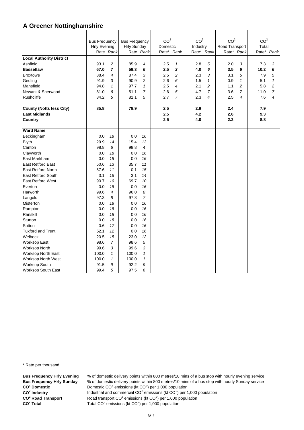|                                 |                                             |                |                                            |                | CO <sup>2</sup> |                | CO <sup>2</sup> |                | CO <sup>2</sup> |                | CO <sup>2</sup> |                |
|---------------------------------|---------------------------------------------|----------------|--------------------------------------------|----------------|-----------------|----------------|-----------------|----------------|-----------------|----------------|-----------------|----------------|
|                                 | <b>Bus Frequency</b><br><b>Hrly Evening</b> |                | <b>Bus Frequency</b><br><b>Hrly Sunday</b> |                | Domestic        |                | Industry        |                | Road Transport  |                | Total           |                |
|                                 |                                             | Rate Rank      |                                            | Rate Rank      | Rate* Rank      |                |                 | Rate* Rank     |                 | Rate* Rank     |                 | Rate* Rank     |
| <b>Local Authority District</b> |                                             |                |                                            |                |                 |                |                 |                |                 |                |                 |                |
| Ashfield                        | 93.1                                        | $\overline{c}$ | 85.9                                       | $\overline{4}$ | 2.5             | $\mathbf{1}$   | 2.8             | 5              | 2.0             | 3              | 7.3             | 3              |
| <b>Bassetlaw</b>                | 67.0                                        | $\overline{7}$ | 59.3                                       | 6              | 2.5             | 3              | 4.0             | 6              | 3.5             | 6              | 10.2            | 6              |
| <b>Broxtowe</b>                 | 88.4                                        | 4              | 87.4                                       | 3              | 2.5             | $\overline{c}$ | 2.3             | 3              | 3.1             | 5              | 7.9             | 5              |
|                                 | 91.9                                        | 3              | 90.9                                       | $\overline{c}$ | 2.6             | 6              | 1.5             | $\mathbf{1}$   | 0.9             | $\mathbf{1}$   | 5.1             | $\mathbf{1}$   |
| Gedling<br>Mansfield            | 94.8                                        | $\mathbf{1}$   | 97.7                                       | $\mathbf{1}$   | 2.5             | 4              | 2.1             | $\overline{c}$ | 1.1             | $\overline{c}$ | 5.8             | $\overline{c}$ |
| Newark & Sherwood               | 81.0                                        | 6              | 51.1                                       | $\overline{7}$ | 2.6             | 5              | 4.7             | $\overline{7}$ | 3.6             | 7              | 11.0            | $\overline{7}$ |
| <b>Rushcliffe</b>               | 84.2                                        | 5              | 81.1                                       | 5              | 2.7             | $\overline{7}$ | 2.3             | $\overline{4}$ | 2.5             | 4              | 7.6             | 4              |
|                                 |                                             |                |                                            |                |                 |                |                 |                |                 |                |                 |                |
| <b>County (Notts less City)</b> | 85.8                                        |                | 78.9                                       |                | 2.5             |                | 2.9             |                | 2.4             |                | 7.9             |                |
| <b>East Midlands</b>            |                                             |                |                                            |                | 2.5             |                | 4.2             |                | 2.6             |                | 9.3             |                |
| Country                         |                                             |                |                                            |                | 2.5             |                | 4.0             |                | 2.2             |                | 8.8             |                |
|                                 |                                             |                |                                            |                |                 |                |                 |                |                 |                |                 |                |
| <b>Ward Name</b>                |                                             |                |                                            |                |                 |                |                 |                |                 |                |                 |                |
| Beckingham                      | 0.0                                         | 18             | 0.0                                        | 16             |                 |                |                 |                |                 |                |                 |                |
| <b>Blyth</b>                    | 29.9                                        | 14             | 15.4                                       | 13             |                 |                |                 |                |                 |                |                 |                |
| Carlton                         | 98.8                                        | 6              | 98.8                                       | $\overline{4}$ |                 |                |                 |                |                 |                |                 |                |
| Clayworth                       | 0.0                                         | 18             | 0.0                                        | 16             |                 |                |                 |                |                 |                |                 |                |
| East Markham                    | 0.0                                         | 18             | 0.0                                        | 16             |                 |                |                 |                |                 |                |                 |                |
| <b>East Retford East</b>        | 50.6                                        | 13             | 35.7                                       | 11             |                 |                |                 |                |                 |                |                 |                |
| <b>East Retford North</b>       | 57.6                                        | 11             | 0.1                                        | 15             |                 |                |                 |                |                 |                |                 |                |
| <b>East Retford South</b>       | 3.1                                         | 16             | 3.1                                        | 14             |                 |                |                 |                |                 |                |                 |                |
| <b>East Retford West</b>        | 90.7                                        | 10             | 69.7                                       | 10             |                 |                |                 |                |                 |                |                 |                |
| Everton                         | 0.0                                         | 18             | 0.0                                        | 16             |                 |                |                 |                |                 |                |                 |                |
| Harworth                        | 99.6                                        | 4              | 96.0                                       | 8              |                 |                |                 |                |                 |                |                 |                |
| Langold                         | 97.3                                        | 8              | 97.3                                       | $\overline{7}$ |                 |                |                 |                |                 |                |                 |                |
| Misterton                       | 0.0                                         | 18             | 0.0                                        | 16             |                 |                |                 |                |                 |                |                 |                |
| Rampton                         | 0.0                                         | 18             | 0.0                                        | 16             |                 |                |                 |                |                 |                |                 |                |
| Ranskill                        | 0.0                                         | 18             | 0.0                                        | 16             |                 |                |                 |                |                 |                |                 |                |
| Sturton                         | 0.0                                         | 18             | 0.0                                        | 16             |                 |                |                 |                |                 |                |                 |                |
| Sutton                          | 0.6                                         | 17             | 0.0                                        | 16             |                 |                |                 |                |                 |                |                 |                |
| <b>Tuxford and Trent</b>        | 52.1                                        | 12             | 0.0                                        | 16             |                 |                |                 |                |                 |                |                 |                |
| Welbeck                         | 20.5                                        | 15             | 23.0                                       | 12             |                 |                |                 |                |                 |                |                 |                |
| Worksop East                    | 98.6                                        | $\overline{7}$ | 98.6                                       | 5              |                 |                |                 |                |                 |                |                 |                |
| <b>Worksop North</b>            | 99.6                                        | 3              | 99.6                                       | $\sqrt{3}$     |                 |                |                 |                |                 |                |                 |                |
| Worksop North East              | 100.0                                       | 1              | 100.0                                      | $\mathbf{1}$   |                 |                |                 |                |                 |                |                 |                |
| Worksop North West              | 100.0                                       | 1              | 100.0                                      | $\mathbf{1}$   |                 |                |                 |                |                 |                |                 |                |
| Worksop South                   | 91.5                                        | 9              | 92.2                                       | 9              |                 |                |                 |                |                 |                |                 |                |
| Worksop South East              | 99.4                                        | 5              | 97.5                                       | 6              |                 |                |                 |                |                 |                |                 |                |

\* Rate per thousand

**CO2 CO2 CO<sup>2</sup> Road Transport** CO<sup>2</sup> Total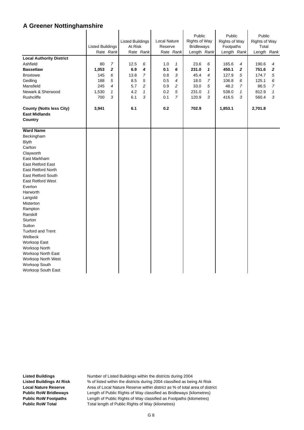| <b>Local Authority District</b><br>Ashfield<br><b>Bassetlaw</b><br><b>Broxtowe</b><br>Gedling                                                                                                              | <b>Listed Buildings</b><br>80<br>1,053<br>145<br>188 | Rate Rank<br>7<br>$\boldsymbol{2}$<br>6<br>5 | <b>Listed Buildings</b><br>At Risk<br>12.5<br>6.9<br>13.8<br>8.5 | Rate Rank<br>6<br>4<br>7<br>5 | Local Nature<br>Reserve<br>1.0<br>0.1<br>0.8<br>0.5 | Rate Rank<br>1<br>6<br>3<br>$\overline{4}$ | Public<br>Rights of Way<br><b>Bridleways</b><br>Length Rank<br>23.6<br>231.0<br>45.4<br>18.0 | 6<br>1<br>$\overline{4}$<br>7 | Public<br><b>Rights of Way</b><br>Footpaths<br>Length Rank<br>165.6<br>450.1<br>127.9<br>106.8 | 4<br>2<br>5<br>6 | Public<br><b>Rights of Way</b><br>Total<br>Length Rank<br>190.6<br>751.6<br>174.7<br>125.1 | 4<br>$\mathbf{z}$<br>5<br>6 |
|------------------------------------------------------------------------------------------------------------------------------------------------------------------------------------------------------------|------------------------------------------------------|----------------------------------------------|------------------------------------------------------------------|-------------------------------|-----------------------------------------------------|--------------------------------------------|----------------------------------------------------------------------------------------------|-------------------------------|------------------------------------------------------------------------------------------------|------------------|--------------------------------------------------------------------------------------------|-----------------------------|
| Mansfield                                                                                                                                                                                                  | 245                                                  | $\overline{4}$                               | 5.7                                                              | 2                             | 0.9                                                 | $\overline{c}$                             | 33.0                                                                                         | 5                             | 48.2                                                                                           | $\overline{7}$   | 86.5                                                                                       | $\overline{7}$              |
| Newark & Sherwood                                                                                                                                                                                          | 1,530                                                | $\mathbf{1}$                                 | 4.2                                                              | $\mathbf{1}$                  | 0.2                                                 | $\sqrt{5}$                                 | 231.0                                                                                        | 1                             | 538.0                                                                                          | $\mathbf{1}$     | 812.9                                                                                      | $\mathcal I$                |
| Rushcliffe                                                                                                                                                                                                 | 700                                                  | 3                                            | 6.1                                                              | 3                             | 0.1                                                 | $\overline{7}$                             | 120.9                                                                                        | 3                             | 416.5                                                                                          | $\mathfrak{3}$   | 560.4                                                                                      | 3                           |
| <b>County (Notts less City)</b><br><b>East Midlands</b><br>Country                                                                                                                                         | 3,941                                                |                                              | 6.1                                                              |                               | 0.2                                                 |                                            | 702.9                                                                                        |                               | 1,853.1                                                                                        |                  | 2,701.8                                                                                    |                             |
| <b>Ward Name</b>                                                                                                                                                                                           |                                                      |                                              |                                                                  |                               |                                                     |                                            |                                                                                              |                               |                                                                                                |                  |                                                                                            |                             |
| Beckingham<br><b>Blyth</b><br>Carlton<br>Clayworth<br>East Markham<br><b>East Retford East</b><br><b>East Retford North</b><br><b>East Retford South</b><br><b>East Retford West</b><br>Everton            |                                                      |                                              |                                                                  |                               |                                                     |                                            |                                                                                              |                               |                                                                                                |                  |                                                                                            |                             |
| Harworth<br>Langold<br>Misterton                                                                                                                                                                           |                                                      |                                              |                                                                  |                               |                                                     |                                            |                                                                                              |                               |                                                                                                |                  |                                                                                            |                             |
| Rampton<br>Ranskill<br>Sturton<br>Sutton<br><b>Tuxford and Trent</b><br>Welbeck<br>Worksop East<br>Worksop North<br>Worksop North East<br>Worksop North West<br>Worksop South<br><b>Worksop South East</b> |                                                      |                                              |                                                                  |                               |                                                     |                                            |                                                                                              |                               |                                                                                                |                  |                                                                                            |                             |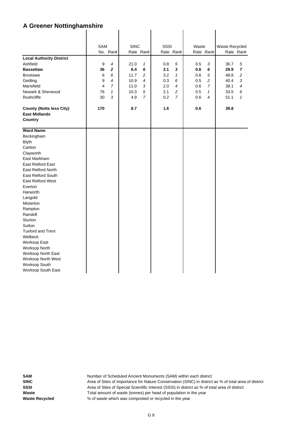|                                 | SAM            |                | <b>SINC</b> |                | SSSI |                | Waste |                | Waste Recycled |                |
|---------------------------------|----------------|----------------|-------------|----------------|------|----------------|-------|----------------|----------------|----------------|
|                                 |                | No. Rank       |             | Rate Rank      |      | Rate Rank      |       | Rate Rank      |                | Rate Rank      |
| <b>Local Authority District</b> |                |                |             |                |      |                |       |                |                |                |
| Ashfield                        | 9              | 4              | 21.0        | $\mathbf{1}$   | 0.8  | 5              | 0.5   | 3              | 36.7           | 5              |
| <b>Bassetlaw</b>                | 36             | $\overline{2}$ | 6.4         | 6              | 2.1  | 3              | 0.6   | 6              | 29.9           | $\overline{7}$ |
| <b>Broxtowe</b>                 | 6              | 6              | 11.7        | 2              | 3.2  | $\mathbf{1}$   | 0.6   | 5              | 48.8           | 2              |
| Gedling                         | 9              | 4              | 10.9        | 4              | 0.3  | 6              | 0.5   | $\overline{c}$ | 40.4           | 3              |
| Mansfield                       | $\overline{4}$ | $\overline{7}$ | 11.0        | 3              | 2.0  | $\overline{4}$ | 0.6   | 7              | 38.1           | $\overline{4}$ |
| Newark & Sherwood               | 76             | 1              | 10.3        | 5              | 2.1  | 2              | 0.5   | 1              | 33.5           | 6              |
| Rushcliffe                      | 30             | 3              | 4.9         | $\overline{7}$ | 0.2  | $\overline{7}$ | 0.6   | 4              | 51.1           | $\mathbf{1}$   |
| <b>County (Notts less City)</b> | 170            |                | 8.7         |                | 1.6  |                | 0.6   |                | 39.8           |                |
| <b>East Midlands</b>            |                |                |             |                |      |                |       |                |                |                |
| Country                         |                |                |             |                |      |                |       |                |                |                |
|                                 |                |                |             |                |      |                |       |                |                |                |
| <b>Ward Name</b>                |                |                |             |                |      |                |       |                |                |                |
| Beckingham                      |                |                |             |                |      |                |       |                |                |                |
| <b>Blyth</b>                    |                |                |             |                |      |                |       |                |                |                |
| Carlton                         |                |                |             |                |      |                |       |                |                |                |
| Clayworth                       |                |                |             |                |      |                |       |                |                |                |
| East Markham                    |                |                |             |                |      |                |       |                |                |                |
| East Retford East               |                |                |             |                |      |                |       |                |                |                |
| <b>East Retford North</b>       |                |                |             |                |      |                |       |                |                |                |
| <b>East Retford South</b>       |                |                |             |                |      |                |       |                |                |                |
| <b>East Retford West</b>        |                |                |             |                |      |                |       |                |                |                |
| Everton                         |                |                |             |                |      |                |       |                |                |                |
| Harworth                        |                |                |             |                |      |                |       |                |                |                |
| Langold                         |                |                |             |                |      |                |       |                |                |                |
| <b>Misterton</b>                |                |                |             |                |      |                |       |                |                |                |
| Rampton                         |                |                |             |                |      |                |       |                |                |                |
| Ranskill                        |                |                |             |                |      |                |       |                |                |                |
| Sturton                         |                |                |             |                |      |                |       |                |                |                |
| Sutton                          |                |                |             |                |      |                |       |                |                |                |
| <b>Tuxford and Trent</b>        |                |                |             |                |      |                |       |                |                |                |
| Welbeck                         |                |                |             |                |      |                |       |                |                |                |
| Worksop East                    |                |                |             |                |      |                |       |                |                |                |
| <b>Worksop North</b>            |                |                |             |                |      |                |       |                |                |                |
| <b>Worksop North East</b>       |                |                |             |                |      |                |       |                |                |                |
| Worksop North West              |                |                |             |                |      |                |       |                |                |                |
| Worksop South                   |                |                |             |                |      |                |       |                |                |                |
| Worksop South East              |                |                |             |                |      |                |       |                |                |                |
|                                 |                |                |             |                |      |                |       |                |                |                |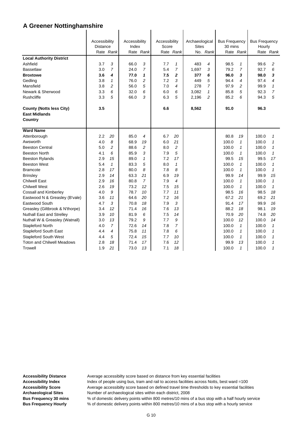|                                   | Accessibility   |                | Accessibility |                | Accessibility |                | Archaeological |                | <b>Bus Frequency</b> |                | <b>Bus Frequency</b> |                |
|-----------------------------------|-----------------|----------------|---------------|----------------|---------------|----------------|----------------|----------------|----------------------|----------------|----------------------|----------------|
|                                   | <b>Distance</b> |                | Index         |                | Score         | Rate Rank      | <b>Sites</b>   | No. Rank       | 30 mins              |                | Hourly               |                |
|                                   |                 | Rate Rank      |               | Rate Rank      |               |                |                |                |                      | Rate Rank      |                      | Rate Rank      |
| <b>Local Authority District</b>   |                 |                |               |                |               |                |                |                |                      |                |                      |                |
| Ashfield                          | 3.7             | 3              | 66.0          | 3              | 7.7           | $\mathbf{1}$   | 483            | $\overline{4}$ | 98.5                 | $\mathcal I$   | 99.6                 | 2              |
| <b>Bassetlaw</b>                  | 3.0             | $\overline{7}$ | 24.0          | $\overline{7}$ | 5.4           | $\overline{7}$ | 1,697          | 3              | 79.2                 | $\overline{7}$ | 92.7                 | 6              |
| <b>Broxtowe</b>                   | 3.6             | 4              | 77.0          | 1              | 7.5           | $\mathbf{2}$   | 377            | 6              | 96.0                 | 3              | 98.0                 | 3              |
| Gedling                           | 3.8             | $\mathcal I$   | 76.0          | $\overline{c}$ | 7.2           | 3              | 449            | 5              | 94.4                 | 4              | 97.4                 | 4              |
| Mansfield                         | 3.8             | 2              | 56.0          | 5              | 7.0           | 4              | 278            | $\overline{7}$ | 97.9                 | 2              | 99.9                 | $\mathbf{1}$   |
| Newark & Sherwood                 | 3.3             | 6              | 32.0          | 6              | 6.0           | 6              | 3.082          | 1              | 85.8                 | 5              | 92.3                 | $\overline{7}$ |
| Rushcliffe                        | 3.3             | 5              | 66.0          | 3              | 6.3           | 5              | 2,196          | $\overline{c}$ | 85.2                 | 6              | 94.3                 | 5              |
| <b>County (Notts less City)</b>   | 3.5             |                |               |                | 6.6           |                | 8,562          |                | 91.0                 |                | 96.3                 |                |
| <b>East Midlands</b>              |                 |                |               |                |               |                |                |                |                      |                |                      |                |
| Country                           |                 |                |               |                |               |                |                |                |                      |                |                      |                |
| <b>Ward Name</b>                  |                 |                |               |                |               |                |                |                |                      |                |                      |                |
|                                   |                 |                |               |                |               |                |                |                |                      |                |                      |                |
| Attenborough                      | 2.2             | 20             | 85.0          | $\overline{4}$ | 6.7           | 20             |                |                | 80.8                 | 19             | 100.0                | 1              |
| Awsworth                          | 4.0             | 8              | 68.9          | 19             | 6.0           | 21             |                |                | 100.0                | $\mathcal I$   | 100.0                | 1              |
| <b>Beeston Central</b>            | 5.0             | 2              | 88.6          | 2              | 8.0           | $\overline{c}$ |                |                | 100.0                | $\mathbf{1}$   | 100.0                | $\mathbf{1}$   |
| <b>Beeston North</b>              | 4.1             | 6              | 85.9          | 3              | 7.9           | 5              |                |                | 100.0                | $\mathcal I$   | 100.0                | $\mathbf{1}$   |
| <b>Beeston Rylands</b>            | 2.9             | 15             | 89.0          | $\mathbf{1}$   | 7.2           | 17             |                |                | 99.5                 | 15             | 99.5                 | 17             |
| <b>Beeston West</b>               | 5.4             | $\mathbf{1}$   | 83.3          | 5              | 8.0           | $\mathbf{1}$   |                |                | 100.0                | $\mathbf{1}$   | 100.0                | $\mathbf{1}$   |
| <b>Bramcote</b>                   | 2.8             | 17             | 80.0          | 8              | 7.8           | 8              |                |                | 100.0                | $\mathbf{1}$   | 100.0                | $\mathbf{1}$   |
| <b>Brinsley</b>                   | 2.9             | 14             | 63.3          | 21             | 6.9           | 19             |                |                | 99.9                 | 14             | 99.9                 | 15             |
| <b>Chilwell East</b>              | 2.9             | 16             | 80.8          | $\overline{7}$ | 7.9           | 4              |                |                | 100.0                | 1              | 100.0                | 1              |
| <b>Chilwell West</b>              | 2.6             | 19             | 73.2          | 12             | 7.5           | 15             |                |                | 100.0                | $\mathbf{1}$   | 100.0                | $\mathbf{1}$   |
| Cossall and Kimberley             | 4.0             | 9              | 78.7          | 10             | 7.7           | 11             |                |                | 98.5                 | 16             | 98.5                 | 18             |
| Eastwood N & Greasley (B'vale)    | 3.6             | 11             | 64.6          | 20             | 7.2           | 16             |                |                | 67.2                 | 21             | 69.2                 | 21             |
| Eastwood South                    | 4.7             | 3              | 70.8          | 18             | 7.9           | 3              |                |                | 91.4                 | 17             | 99.9                 | 16             |
| Greasley (Giltbrook & N'thorpe)   | 3.4             | 12             | 71.4          | 16             | 7.6           | 13             |                |                | 88.2                 | 18             | 98.1                 | 19             |
| Nuthall East and Strelley         | 3.9             | 10             | 81.9          | 6              | 7.5           | 14             |                |                | 70.9                 | 20             | 74.8                 | 20             |
| Nuthall W & Greasley (Watnall)    | 3.0             | 13             | 79.2          | 9              | 7.7           | 9              |                |                | 100.0                | 12             | 100.0                | 14             |
| Stapleford North                  | 4.0             | $\overline{7}$ | 72.6          | 14             | 7.8           | $\overline{7}$ |                |                | 100.0                | $\mathbf{1}$   | 100.0                | $\mathbf{1}$   |
| <b>Stapleford South East</b>      | 4.4             | 4              | 75.8          | 11             | 7.8           | 6              |                |                | 100.0                | $\mathcal I$   | 100.0                | $\mathbf{1}$   |
| <b>Stapleford South West</b>      | 4.4             | 5              | 72.4          | 15             | 7.7           | 10             |                |                | 100.0                | $\mathbf{1}$   | 100.0                | 1              |
| <b>Toton and Chilwell Meadows</b> | 2.8             | 18             | 71.4          | 17             | 7.6           | 12             |                |                | 99.9                 | 13             | 100.0                | $\mathbf{1}$   |
| Trowell                           | 1.9             | 21             | 73.0          | 13             | 7.1           | 18             |                |                | 100.0                | 1              | 100.0                | 1              |

Accessibility Distance **Average accessibilty score based on distance from key essential facilities** Accessibility Index **Index** Index of people using bus, tram and rail to access facilities across Notts, best ward =100 Accessibility Score **Average accessibilty score based on defined travel time thresholds to key essential facilities Archaeological Sites** Number of archaeological sites within each district, 2008

**Bus Frequency 30 mins** % of domestic delivery points within 800 metres/10 mins of a bus stop with a half hourly service **Bus Frequency Hourly** % of domestic delivery points within 800 metres/10 mins of a bus stop with a hourly service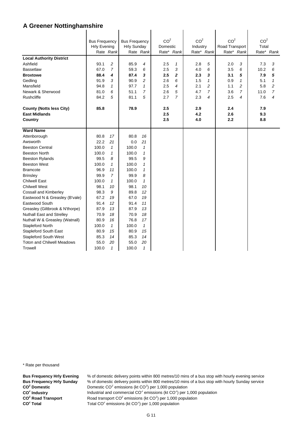|                                   | <b>Bus Frequency</b> |                | <b>Bus Frequency</b> |              | CO <sup>2</sup> |                | CO <sup>2</sup> |                | CO <sup>2</sup> |                | CO <sup>2</sup> |                |
|-----------------------------------|----------------------|----------------|----------------------|--------------|-----------------|----------------|-----------------|----------------|-----------------|----------------|-----------------|----------------|
|                                   | <b>Hrly Evening</b>  |                | <b>Hrly Sunday</b>   |              | Domestic        |                | Industry        |                | Road Transport  |                | Total           |                |
|                                   |                      | Rate Rank      |                      | Rate Rank    | Rate* Rank      |                |                 | Rate* Rank     |                 | Rate* Rank     |                 | Rate* Rank     |
| <b>Local Authority District</b>   |                      |                |                      |              |                 |                |                 |                |                 |                |                 |                |
| Ashfield                          | 93.1                 | 2              | 85.9                 | 4            | 2.5             | $\mathbf{1}$   | 2.8             | 5              | 2.0             | 3              | 7.3             | 3              |
| <b>Bassetlaw</b>                  | 67.0                 | $\overline{7}$ | 59.3                 | 6            | 2.5             | 3              | 4.0             | 6              | 3.5             | 6              | 10.2            | 6              |
| <b>Broxtowe</b>                   | 88.4                 | 4              | 87.4                 | 3            | 2.5             | $\overline{2}$ | 2.3             | 3              | 3.1             | 5              | 7.9             | 5              |
| Gedling                           | 91.9                 | 3              | 90.9                 | 2            | 2.6             | 6              | 1.5             | $\mathbf{1}$   | 0.9             | $\mathbf{1}$   | 5.1             | $\mathbf{1}$   |
| Mansfield                         | 94.8                 | $\mathbf{1}$   | 97.7                 | 1            | 2.5             | $\overline{4}$ | 2.1             | $\overline{c}$ | 1.1             | $\overline{c}$ | 5.8             | $\overline{c}$ |
| Newark & Sherwood                 | 81.0                 | 6              | 51.1                 | 7            | 2.6             | 5              | 4.7             | $\overline{7}$ | 3.6             | 7              | 11.0            | 7              |
| Rushcliffe                        | 84.2                 | 5              | 81.1                 | 5            | 2.7             | $\overline{7}$ | 2.3             | 4              | 2.5             | 4              | 7.6             | 4              |
| <b>County (Notts less City)</b>   | 85.8                 |                | 78.9                 |              | 2.5             |                | 2.9             |                | 2.4             |                | 7.9             |                |
| <b>East Midlands</b>              |                      |                |                      |              | 2.5             |                | 4.2             |                | 2.6             |                | 9.3             |                |
| Country                           |                      |                |                      |              | 2.5             |                | 4.0             |                | 2.2             |                | 8.8             |                |
|                                   |                      |                |                      |              |                 |                |                 |                |                 |                |                 |                |
| <b>Ward Name</b>                  |                      |                |                      |              |                 |                |                 |                |                 |                |                 |                |
| Attenborough                      | 80.8                 | 17             | 80.8                 | 16           |                 |                |                 |                |                 |                |                 |                |
| Awsworth                          | 22.2                 | 21             | 0.0                  | 21           |                 |                |                 |                |                 |                |                 |                |
| <b>Beeston Central</b>            | 100.0                | $\mathcal I$   | 100.0                | $\mathbf{1}$ |                 |                |                 |                |                 |                |                 |                |
| <b>Beeston North</b>              | 100.0                | $\mathcal I$   | 100.0                | $\mathbf{1}$ |                 |                |                 |                |                 |                |                 |                |
| <b>Beeston Rylands</b>            | 99.5                 | 8              | 99.5                 | 9            |                 |                |                 |                |                 |                |                 |                |
| <b>Beeston West</b>               | 100.0                | $\mathbf{1}$   | 100.0                | 1            |                 |                |                 |                |                 |                |                 |                |
| <b>Bramcote</b>                   | 96.9                 | 11             | 100.0                | 1            |                 |                |                 |                |                 |                |                 |                |
| <b>Brinsley</b>                   | 99.9                 | $\overline{7}$ | 99.9                 | 8            |                 |                |                 |                |                 |                |                 |                |
| <b>Chilwell East</b>              | 100.0                | $\mathbf{1}$   | 100.0                | $\mathbf{1}$ |                 |                |                 |                |                 |                |                 |                |
| <b>Chilwell West</b>              | 98.1                 | 10             | 98.1                 | 10           |                 |                |                 |                |                 |                |                 |                |
| Cossall and Kimberley             | 98.3                 | 9              | 89.8                 | 12           |                 |                |                 |                |                 |                |                 |                |
| Eastwood N & Greasley (B'vale)    | 67.2                 | 19             | 67.0                 | 19           |                 |                |                 |                |                 |                |                 |                |
| Eastwood South                    | 91.4                 | 12             | 91.4                 | 11           |                 |                |                 |                |                 |                |                 |                |
| Greasley (Giltbrook & N'thorpe)   | 87.9                 | 13             | 87.9                 | 13           |                 |                |                 |                |                 |                |                 |                |
| Nuthall East and Strelley         | 70.9                 | 18             | 70.9                 | 18           |                 |                |                 |                |                 |                |                 |                |
| Nuthall W & Greasley (Watnall)    | 80.9                 | 16             | 76.8                 | 17           |                 |                |                 |                |                 |                |                 |                |
| Stapleford North                  | 100.0                | $\mathbf{1}$   | 100.0                | $\mathbf{1}$ |                 |                |                 |                |                 |                |                 |                |
| <b>Stapleford South East</b>      | 80.9                 | 15             | 80.9                 | 15           |                 |                |                 |                |                 |                |                 |                |
| <b>Stapleford South West</b>      | 85.3                 | 14             | 85.3                 | 14           |                 |                |                 |                |                 |                |                 |                |
| <b>Toton and Chilwell Meadows</b> | 55.0                 | 20             | 55.0                 | 20           |                 |                |                 |                |                 |                |                 |                |
| <b>Trowell</b>                    | 100.0                | $\mathbf{1}$   | 100.0                | 1            |                 |                |                 |                |                 |                |                 |                |

\* Rate per thousand

**CO2 CO2 CO<sup>2</sup> Road Transport** CO<sup>2</sup> Total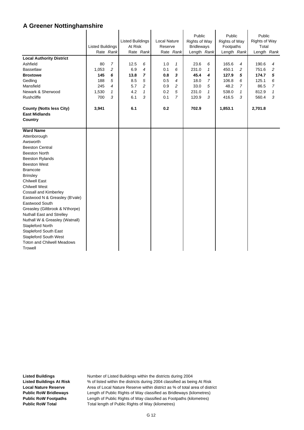|                                                                    | <b>Listed Buildings</b> | Rate Rank      | <b>Listed Buildings</b><br>At Risk | Rate Rank    | <b>Local Nature</b><br>Reserve | Rate Rank      | Public<br><b>Rights of Way</b><br><b>Bridleways</b><br>Length Rank |                | Public<br><b>Rights of Way</b><br>Footpaths<br>Length Rank |   | Public<br>Rights of Way<br>Total<br>Length Rank |                |
|--------------------------------------------------------------------|-------------------------|----------------|------------------------------------|--------------|--------------------------------|----------------|--------------------------------------------------------------------|----------------|------------------------------------------------------------|---|-------------------------------------------------|----------------|
| <b>Local Authority District</b>                                    |                         |                |                                    |              |                                |                |                                                                    |                |                                                            |   |                                                 |                |
| Ashfield                                                           | 80                      | $\overline{7}$ | 12.5                               | 6            | 1.0                            | $\mathbf{1}$   | 23.6                                                               | 6              | 165.6                                                      | 4 | 190.6                                           | 4              |
| <b>Bassetlaw</b>                                                   | 1,053                   | 2              | 6.9                                | 4            | 0.1                            | 6              | 231.0                                                              | $\mathbf{1}$   | 450.1                                                      | 2 | 751.6                                           | $\overline{c}$ |
| <b>Broxtowe</b>                                                    | 145                     | 6              | 13.8                               | 7            | 0.8                            | 3              | 45.4                                                               | 4              | 127.9                                                      | 5 | 174.7                                           | 5              |
| Gedling                                                            | 188                     | 5              | 8.5                                | 5            | 0.5                            | 4              | 18.0                                                               | $\overline{7}$ | 106.8                                                      | 6 | 125.1                                           | 6              |
| Mansfield                                                          | 245                     | 4              | 5.7                                | 2            | 0.9                            | 2              | 33.0                                                               | 5              | 48.2                                                       | 7 | 86.5                                            | $\overline{7}$ |
| Newark & Sherwood                                                  | 1,530                   | 1              | 4.2                                | $\mathbf{1}$ | 0.2                            | 5              | 231.0                                                              | 1              | 538.0                                                      | 1 | 812.9                                           | 1              |
| Rushcliffe                                                         | 700                     | 3              | 6.1                                | 3            | 0.1                            | $\overline{7}$ | 120.9                                                              | 3              | 416.5                                                      | 3 | 560.4                                           | 3              |
| <b>County (Notts less City)</b><br><b>East Midlands</b><br>Country | 3,941                   |                | 6.1                                |              | 0.2                            |                | 702.9                                                              |                | 1,853.1                                                    |   | 2,701.8                                         |                |
| <b>Ward Name</b>                                                   |                         |                |                                    |              |                                |                |                                                                    |                |                                                            |   |                                                 |                |
| Attenborough                                                       |                         |                |                                    |              |                                |                |                                                                    |                |                                                            |   |                                                 |                |
| Awsworth                                                           |                         |                |                                    |              |                                |                |                                                                    |                |                                                            |   |                                                 |                |
| <b>Beeston Central</b>                                             |                         |                |                                    |              |                                |                |                                                                    |                |                                                            |   |                                                 |                |
| <b>Beeston North</b>                                               |                         |                |                                    |              |                                |                |                                                                    |                |                                                            |   |                                                 |                |
| <b>Beeston Rylands</b>                                             |                         |                |                                    |              |                                |                |                                                                    |                |                                                            |   |                                                 |                |
| <b>Beeston West</b>                                                |                         |                |                                    |              |                                |                |                                                                    |                |                                                            |   |                                                 |                |
| <b>Bramcote</b>                                                    |                         |                |                                    |              |                                |                |                                                                    |                |                                                            |   |                                                 |                |
| <b>Brinsley</b>                                                    |                         |                |                                    |              |                                |                |                                                                    |                |                                                            |   |                                                 |                |
| <b>Chilwell East</b>                                               |                         |                |                                    |              |                                |                |                                                                    |                |                                                            |   |                                                 |                |
| <b>Chilwell West</b>                                               |                         |                |                                    |              |                                |                |                                                                    |                |                                                            |   |                                                 |                |
| Cossall and Kimberley                                              |                         |                |                                    |              |                                |                |                                                                    |                |                                                            |   |                                                 |                |
| Eastwood N & Greasley (B'vale)                                     |                         |                |                                    |              |                                |                |                                                                    |                |                                                            |   |                                                 |                |
| Eastwood South                                                     |                         |                |                                    |              |                                |                |                                                                    |                |                                                            |   |                                                 |                |
| Greasley (Giltbrook & N'thorpe)                                    |                         |                |                                    |              |                                |                |                                                                    |                |                                                            |   |                                                 |                |
| <b>Nuthall East and Strelley</b>                                   |                         |                |                                    |              |                                |                |                                                                    |                |                                                            |   |                                                 |                |
| Nuthall W & Greasley (Watnall)                                     |                         |                |                                    |              |                                |                |                                                                    |                |                                                            |   |                                                 |                |
| Stapleford North                                                   |                         |                |                                    |              |                                |                |                                                                    |                |                                                            |   |                                                 |                |
| <b>Stapleford South East</b>                                       |                         |                |                                    |              |                                |                |                                                                    |                |                                                            |   |                                                 |                |
| <b>Stapleford South West</b>                                       |                         |                |                                    |              |                                |                |                                                                    |                |                                                            |   |                                                 |                |
| <b>Toton and Chilwell Meadows</b>                                  |                         |                |                                    |              |                                |                |                                                                    |                |                                                            |   |                                                 |                |
| Trowell                                                            |                         |                |                                    |              |                                |                |                                                                    |                |                                                            |   |                                                 |                |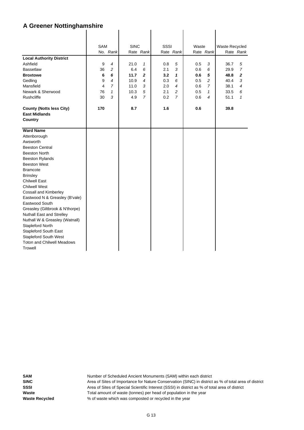|                                   | <b>SAM</b> |                | <b>SINC</b> |                | <b>SSSI</b> |                | Waste |                | Waste Recycled |                |
|-----------------------------------|------------|----------------|-------------|----------------|-------------|----------------|-------|----------------|----------------|----------------|
|                                   |            | No. Rank       |             | Rate Rank      |             | Rate Rank      |       | Rate Rank      |                | Rate Rank      |
| <b>Local Authority District</b>   |            |                |             |                |             |                |       |                |                |                |
| Ashfield                          | 9          | $\overline{4}$ | 21.0        | $\mathbf{1}$   | 0.8         | 5              | 0.5   | 3              | 36.7           | 5              |
| <b>Bassetlaw</b>                  | 36         | $\overline{c}$ | 6.4         | 6              | 2.1         | 3              | 0.6   | 6              | 29.9           | $\overline{7}$ |
| <b>Broxtowe</b>                   | 6          | 6              | 11.7        | $\mathbf{2}$   | 3.2         | 1              | 0.6   | 5              | 48.8           | $\mathbf{2}$   |
| Gedling                           | 9          | 4              | 10.9        | 4              | 0.3         | 6              | 0.5   | $\overline{c}$ | 40.4           | 3              |
| Mansfield                         | 4          | $\overline{7}$ | 11.0        | 3              | 2.0         | 4              | 0.6   | $\overline{7}$ | 38.1           | 4              |
| Newark & Sherwood                 | 76         | 1              | 10.3        | 5              | 2.1         | 2              | 0.5   | $\mathbf{1}$   | 33.5           | 6              |
| <b>Rushcliffe</b>                 | 30         | 3              | 4.9         | $\overline{7}$ | 0.2         | $\overline{7}$ | 0.6   | $\overline{4}$ | 51.1           | $\mathbf{1}$   |
|                                   |            |                |             |                |             |                |       |                |                |                |
| <b>County (Notts less City)</b>   | 170        |                | 8.7         |                | 1.6         |                | 0.6   |                | 39.8           |                |
| <b>East Midlands</b>              |            |                |             |                |             |                |       |                |                |                |
| Country                           |            |                |             |                |             |                |       |                |                |                |
|                                   |            |                |             |                |             |                |       |                |                |                |
| <b>Ward Name</b>                  |            |                |             |                |             |                |       |                |                |                |
| Attenborough                      |            |                |             |                |             |                |       |                |                |                |
| Awsworth                          |            |                |             |                |             |                |       |                |                |                |
| <b>Beeston Central</b>            |            |                |             |                |             |                |       |                |                |                |
| <b>Beeston North</b>              |            |                |             |                |             |                |       |                |                |                |
| <b>Beeston Rylands</b>            |            |                |             |                |             |                |       |                |                |                |
| <b>Beeston West</b>               |            |                |             |                |             |                |       |                |                |                |
| <b>Bramcote</b>                   |            |                |             |                |             |                |       |                |                |                |
| <b>Brinsley</b>                   |            |                |             |                |             |                |       |                |                |                |
| <b>Chilwell East</b>              |            |                |             |                |             |                |       |                |                |                |
| <b>Chilwell West</b>              |            |                |             |                |             |                |       |                |                |                |
| Cossall and Kimberley             |            |                |             |                |             |                |       |                |                |                |
| Eastwood N & Greasley (B'vale)    |            |                |             |                |             |                |       |                |                |                |
| Eastwood South                    |            |                |             |                |             |                |       |                |                |                |
| Greasley (Giltbrook & N'thorpe)   |            |                |             |                |             |                |       |                |                |                |
| Nuthall East and Strelley         |            |                |             |                |             |                |       |                |                |                |
| Nuthall W & Greasley (Watnall)    |            |                |             |                |             |                |       |                |                |                |
| Stapleford North                  |            |                |             |                |             |                |       |                |                |                |
| <b>Stapleford South East</b>      |            |                |             |                |             |                |       |                |                |                |
| <b>Stapleford South West</b>      |            |                |             |                |             |                |       |                |                |                |
| <b>Toton and Chilwell Meadows</b> |            |                |             |                |             |                |       |                |                |                |
| Trowell                           |            |                |             |                |             |                |       |                |                |                |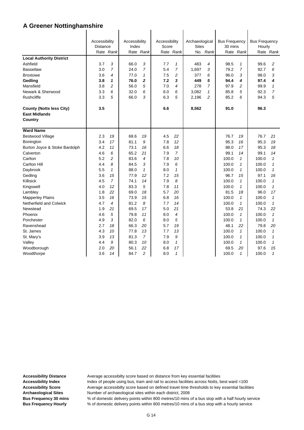|                                 | Accessibility   |                | Accessibility |                | Accessibility |                | Archaeological |                | <b>Bus Frequency</b> |                | <b>Bus Frequency</b> |                |
|---------------------------------|-----------------|----------------|---------------|----------------|---------------|----------------|----------------|----------------|----------------------|----------------|----------------------|----------------|
|                                 | <b>Distance</b> |                | Index         |                | Score         |                | <b>Sites</b>   |                | 30 mins              |                | Hourly               |                |
|                                 |                 | Rate Rank      |               | Rate Rank      |               | Rate Rank      |                | No. Rank       |                      | Rate Rank      |                      | Rate Rank      |
| <b>Local Authority District</b> |                 |                |               |                |               |                |                |                |                      |                |                      |                |
| Ashfield                        | 3.7             | 3              | 66.0          | 3              | 7.7           | $\mathbf{1}$   | 483            | $\overline{4}$ | 98.5                 | $\mathcal I$   | 99.6                 | 2              |
| <b>Bassetlaw</b>                | 3.0             | $\overline{7}$ | 24.0          | $\overline{7}$ | 5.4           | $\overline{7}$ | 1,697          | 3              | 79.2                 | $\overline{7}$ | 92.7                 | 6              |
| <b>Broxtowe</b>                 | 3.6             | 4              | 77.0          | $\mathbf{1}$   | 7.5           | 2              | 377            | 6              | 96.0                 | 3              | 98.0                 | 3              |
| <b>Gedling</b>                  | 3.8             | 1              | 76.0          | $\overline{2}$ | 7.2           | 3              | 449            | 5              | 94.4                 | 4              | 97.4                 | 4              |
| Mansfield                       | 3.8             | 2              | 56.0          | 5              | 7.0           | 4              | 278            | $\overline{7}$ | 97.9                 | 2              | 99.9                 | $\mathbf{1}$   |
| Newark & Sherwood               | 3.3             | 6              | 32.0          | 6              | 6.0           | 6              | 3,082          | 1              | 85.8                 | 5              | 92.3                 | $\overline{7}$ |
| <b>Rushcliffe</b>               | 3.3             | 5              | 66.0          | 3              | 6.3           | 5              | 2,196          | $\overline{c}$ | 85.2                 | 6              | 94.3                 | 5              |
| <b>County (Notts less City)</b> | 3.5             |                |               |                | 6.6           |                | 8,562          |                | 91.0                 |                | 96.3                 |                |
| <b>East Midlands</b>            |                 |                |               |                |               |                |                |                |                      |                |                      |                |
| Country                         |                 |                |               |                |               |                |                |                |                      |                |                      |                |
| <b>Ward Name</b>                |                 |                |               |                |               |                |                |                |                      |                |                      |                |
| <b>Bestwood Village</b>         | 2.3             | 19             | 68.6          | 19             | 4.5           | 22             |                |                | 76.7                 | 19             | 76.7                 | 21             |
| Bonington                       | 3.4             | 17             | 81.1          | 9              | 7.8           | 12             |                |                | 95.3                 | 16             | 95.3                 | 19             |
| Burton Joyce & Stoke Bardolph   | 4.2             | 11             | 73.1          | 16             | 6.6           | 18             |                |                | 88.0                 | 17             | 95.3                 | 18             |
| Calverton                       | 4.6             | 6              | 65.2          | 21             | 7.9           | $\overline{7}$ |                |                | 99.1                 | 14             | 99.1                 | 14             |
| Carlton                         | 5.2             | 2              | 83.6          | $\overline{4}$ | 7.8           | 10             |                |                | 100.0                | $\mathbf{1}$   | 100.0                | $\mathbf{1}$   |
| <b>Carlton Hill</b>             | 4.4             | 8              | 84.5          | 3              | 7.9           | 6              |                |                | 100.0                | $\mathbf{1}$   | 100.0                | $\mathbf{1}$   |
| Daybrook                        | 5.5             | $\mathcal I$   | 88.0          | $\mathcal I$   | 8.0           | 1              |                |                | 100.0                | $\mathbf{1}$   | 100.0                | 1              |
| Gedling                         | 3.6             | 15             | 77.9          | 12             | 7.2           | 15             |                |                | 96.7                 | 15             | 97.1                 | 16             |
| Killisick                       | 4.5             | $\overline{7}$ | 74.1          | 14             | 7.9           | 8              |                |                | 100.0                | $\mathcal I$   | 100.0                | $\mathbf{1}$   |
| Kingswell                       | 4.0             | 12             | 83.3          | 5              | 7.8           | 11             |                |                | 100.0                | $\mathbf{1}$   | 100.0                | $\mathbf{1}$   |
| Lambley                         | 1.8             | 22             | 69.0          | 18             | 5.7           | 20             |                |                | 81.5                 | 18             | 96.0                 | 17             |
| <b>Mapperley Plains</b>         | 3.5             | 16             | 73.9          | 15             | 6.8           | 16             |                |                | 100.0                | $\mathbf{1}$   | 100.0                | $\mathbf{1}$   |
| Netherfield and Colwick         | 4.7             | 4              | 81.2          | 8              | 7.7           | 14             |                |                | 100.0                | $\mathbf{1}$   | 100.0                | $\mathbf{1}$   |
| Newstead                        | 1.9             | 21             | 69.5          | 17             | 5.0           | 21             |                |                | 53.8                 | 21             | 74.3                 | 22             |
| Phoenix                         | 4.6             | 5              | 79.8          | 11             | 8.0           | $\overline{4}$ |                |                | 100.0                | $\mathcal I$   | 100.0                | $\mathbf{1}$   |
| Porchester                      | 4.9             | 3              | 82.0          | 6              | 8.0           | 5              |                |                | 100.0                | $\mathbf{1}$   | 100.0                | $\mathbf{1}$   |
| Ravenshead                      | 2.7             | 18             | 66.3          | 20             | 5.7           | 19             |                |                | 48.1                 | 22             | 79.8                 | 20             |
| St. James                       | 4.3             | 10             | 77.8          | 13             | 7.7           | 13             |                |                | 100.0                | $\mathbf{1}$   | 100.0                | $\mathbf{1}$   |
| St. Mary's                      | 3.9             | 13             | 81.3          | $\overline{7}$ | 7.9           | 9              |                |                | 100.0                | $\mathbf{1}$   | 100.0                | 1              |
| Valley                          | 4.4             | 9              | 80.3          | 10             | 8.0           | $\mathbf{1}$   |                |                | 100.0                | $\mathbf{1}$   | 100.0                | $\mathbf{1}$   |
| Woodborough                     | 2.0             | 20             | 56.1          | 22             | 6.8           | 17             |                |                | 69.5                 | 20             | 97.6                 | 15             |
| Woodthorpe                      | 3.6             | 14             | 84.7          | $\overline{c}$ | 8.0           | $\mathbf{1}$   |                |                | 100.0                | $\mathbf{1}$   | 100.0                | $\mathbf{1}$   |

Accessibility Distance **Average accessibilty score based on distance from key essential facilities** Accessibility Index **Index** Index of people using bus, tram and rail to access facilities across Notts, best ward =100 Accessibility Score **Average accessibilty score based on defined travel time thresholds to key essential facilities Archaeological Sites** Number of archaeological sites within each district, 2008 **Bus Frequency 30 mins** % of domestic delivery points within 800 metres/10 mins of a bus stop with a half hourly service

**Bus Frequency Hourly** % of domestic delivery points within 800 metres/10 mins of a bus stop with a hourly service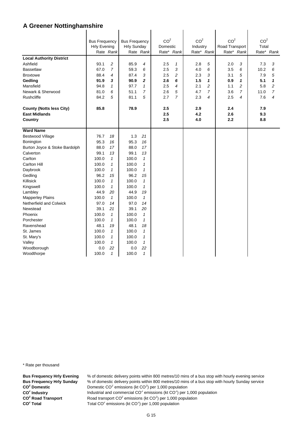|                                 | <b>Bus Frequency</b><br><b>Hrly Evening</b> |                | <b>Bus Frequency</b><br><b>Hrly Sunday</b> |                | CO <sup>2</sup><br>Domestic |                | CO <sup>2</sup><br>Industry |                | CO <sup>2</sup><br>Road Transport |                | CO <sup>2</sup><br>Total |                |
|---------------------------------|---------------------------------------------|----------------|--------------------------------------------|----------------|-----------------------------|----------------|-----------------------------|----------------|-----------------------------------|----------------|--------------------------|----------------|
|                                 |                                             | Rate Rank      |                                            | Rate Rank      | Rate* Rank                  |                |                             | Rate* Rank     |                                   | Rate* Rank     |                          | Rate* Rank     |
| <b>Local Authority District</b> |                                             |                |                                            |                |                             |                |                             |                |                                   |                |                          |                |
| Ashfield                        | 93.1                                        | 2              | 85.9                                       | 4              | 2.5                         | $\mathbf{1}$   | 2.8                         | 5              | 2.0                               | 3              | 7.3                      | 3              |
| <b>Bassetlaw</b>                | 67.0                                        | $\overline{7}$ | 59.3                                       | 6              | 2.5                         | 3              | 4.0                         | 6              | 3.5                               | 6              | 10.2                     | 6              |
| <b>Broxtowe</b>                 | 88.4                                        | 4              | 87.4                                       | 3              | 2.5                         | 2              | 2.3                         | 3              | 3.1                               | 5              | 7.9                      | 5              |
| Gedling                         | 91.9                                        | 3              | 90.9                                       | $\overline{2}$ | 2.6                         | 6              | 1.5                         | 1              | 0.9                               | 1              | 5.1                      | $\mathbf{1}$   |
| Mansfield                       | 94.8                                        | $\mathbf{1}$   | 97.7                                       | $\mathbf{1}$   | 2.5                         | 4              | 2.1                         | $\overline{c}$ | 1.1                               | $\overline{c}$ | 5.8                      | $\overline{c}$ |
| Newark & Sherwood               | 81.0                                        | 6              | 51.1                                       | $\overline{7}$ | 2.6                         | 5              | 4.7                         | $\overline{7}$ | 3.6                               | $\overline{7}$ | 11.0                     | $\overline{7}$ |
| Rushcliffe                      | 84.2                                        | 5              | 81.1                                       | 5              | 2.7                         | $\overline{7}$ | 2.3                         | $\overline{4}$ | 2.5                               | 4              | 7.6                      | 4              |
|                                 |                                             |                |                                            |                |                             |                |                             |                |                                   |                |                          |                |
| <b>County (Notts less City)</b> | 85.8                                        |                | 78.9                                       |                | 2.5                         |                | 2.9                         |                | 2.4                               |                | 7.9                      |                |
| <b>East Midlands</b>            |                                             |                |                                            |                | 2.5                         |                | 4.2                         |                | 2.6                               |                | 9.3                      |                |
| <b>Country</b>                  |                                             |                |                                            |                | 2.5                         |                | 4.0                         |                | 2.2                               |                | 8.8                      |                |
|                                 |                                             |                |                                            |                |                             |                |                             |                |                                   |                |                          |                |
| <b>Ward Name</b>                |                                             |                |                                            |                |                             |                |                             |                |                                   |                |                          |                |
| <b>Bestwood Village</b>         | 76.7                                        | 18             | 1.3                                        | 21             |                             |                |                             |                |                                   |                |                          |                |
| Bonington                       | 95.3                                        | 16             | 95.3                                       | 16             |                             |                |                             |                |                                   |                |                          |                |
| Burton Joyce & Stoke Bardolph   | 88.0                                        | 17             | 88.0                                       | 17             |                             |                |                             |                |                                   |                |                          |                |
| Calverton                       | 99.1                                        | 13             | 99.1                                       | 13             |                             |                |                             |                |                                   |                |                          |                |
| Carlton                         | 100.0                                       | $\mathbf{1}$   | 100.0                                      | $\mathbf{1}$   |                             |                |                             |                |                                   |                |                          |                |
| <b>Carlton Hill</b>             | 100.0                                       | $\mathbf{1}$   | 100.0                                      | 1              |                             |                |                             |                |                                   |                |                          |                |
| Daybrook                        | 100.0                                       | $\mathbf{1}$   | 100.0                                      | $\mathbf{1}$   |                             |                |                             |                |                                   |                |                          |                |
| Gedling                         | 96.2                                        | 15             | 96.2                                       | 15             |                             |                |                             |                |                                   |                |                          |                |
| Killisick                       | 100.0                                       | $\mathbf{1}$   | 100.0                                      | $\mathbf{1}$   |                             |                |                             |                |                                   |                |                          |                |
| Kingswell                       | 100.0                                       | $\mathbf{1}$   | 100.0                                      | $\mathbf{1}$   |                             |                |                             |                |                                   |                |                          |                |
| Lambley                         | 44.9                                        | 20             | 44.9                                       | 19             |                             |                |                             |                |                                   |                |                          |                |
| <b>Mapperley Plains</b>         | 100.0                                       | $\mathbf{1}$   | 100.0                                      | $\mathbf{1}$   |                             |                |                             |                |                                   |                |                          |                |
| Netherfield and Colwick         | 97.0                                        | 14             | 97.0                                       | 14             |                             |                |                             |                |                                   |                |                          |                |
| Newstead                        | 39.1                                        | 21             | 39.1                                       | 20             |                             |                |                             |                |                                   |                |                          |                |
| Phoenix                         | 100.0                                       | $\mathbf{1}$   | 100.0                                      | $\mathbf{1}$   |                             |                |                             |                |                                   |                |                          |                |
| Porchester                      | 100.0                                       | $\mathbf{1}$   | 100.0                                      | $\mathbf{1}$   |                             |                |                             |                |                                   |                |                          |                |
| Ravenshead                      | 48.1                                        | 19             | 48.1                                       | 18             |                             |                |                             |                |                                   |                |                          |                |
| St. James                       | 100.0                                       | $\mathbf{1}$   | 100.0                                      | 1              |                             |                |                             |                |                                   |                |                          |                |
| St. Mary's                      | 100.0                                       | $\mathbf{1}$   | 100.0                                      | $\mathbf{1}$   |                             |                |                             |                |                                   |                |                          |                |
| Valley                          | 100.0                                       | $\mathcal I$   | 100.0                                      | $\mathbf{1}$   |                             |                |                             |                |                                   |                |                          |                |
| Woodborough                     | 0.0                                         | 22             | 0.0                                        | 22             |                             |                |                             |                |                                   |                |                          |                |
| Woodthorpe                      | 100.0                                       | $\mathcal I$   | 100.0                                      | $\mathbf{1}$   |                             |                |                             |                |                                   |                |                          |                |

\* Rate per thousand

**CO2 CO2 CO<sup>2</sup> Road Transport** CO<sup>2</sup> Total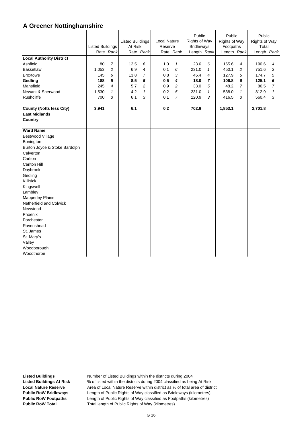|                                                                    | <b>Listed Buildings</b> | Rate Rank      | <b>Listed Buildings</b><br>At Risk | Rate Rank      | Local Nature<br>Reserve | Rate Rank      | Public<br><b>Rights of Way</b><br><b>Bridleways</b><br>Length Rank |              | Public<br><b>Rights of Way</b><br>Footpaths<br>Length Rank |              | Public<br><b>Rights of Way</b><br>Total<br>Length Rank |                |
|--------------------------------------------------------------------|-------------------------|----------------|------------------------------------|----------------|-------------------------|----------------|--------------------------------------------------------------------|--------------|------------------------------------------------------------|--------------|--------------------------------------------------------|----------------|
| <b>Local Authority District</b>                                    |                         |                |                                    |                |                         |                |                                                                    |              |                                                            |              |                                                        |                |
| Ashfield                                                           | 80                      | $\overline{7}$ | 12.5                               | 6              | 1.0                     | 1              | 23.6                                                               | 6            | 165.6                                                      | 4            | 190.6                                                  | 4              |
| <b>Bassetlaw</b>                                                   | 1,053                   | 2              | 6.9                                | $\overline{4}$ | 0.1                     | 6              | 231.0                                                              | $\mathbf{1}$ | 450.1                                                      | 2            | 751.6                                                  | $\overline{c}$ |
| <b>Broxtowe</b>                                                    | 145                     | 6              | 13.8                               | $\overline{7}$ | 0.8                     | 3              | 45.4                                                               | 4            | 127.9                                                      | 5            | 174.7                                                  | 5              |
| Gedling                                                            | 188                     | 5              | 8.5                                | 5              | 0.5                     | 4              | 18.0                                                               | 7            | 106.8                                                      | 6            | 125.1                                                  | 6              |
| Mansfield                                                          | 245                     | 4              | 5.7                                | 2              | 0.9                     | 2              | 33.0                                                               | 5            | 48.2                                                       | 7            | 86.5                                                   | 7              |
| Newark & Sherwood                                                  | 1,530                   | 1              | 4.2                                | $\mathcal I$   | 0.2                     | 5              | 231.0                                                              | $\mathbf{1}$ | 538.0                                                      | $\mathbf{1}$ | 812.9                                                  | 1              |
| Rushcliffe                                                         | 700                     | 3              | 6.1                                | 3              | 0.1                     | $\overline{7}$ | 120.9                                                              | 3            | 416.5                                                      | 3            | 560.4                                                  | 3              |
| <b>County (Notts less City)</b><br><b>East Midlands</b><br>Country | 3,941                   |                | 6.1                                |                | 0.2                     |                | 702.9                                                              |              | 1,853.1                                                    |              | 2,701.8                                                |                |
| <b>Ward Name</b>                                                   |                         |                |                                    |                |                         |                |                                                                    |              |                                                            |              |                                                        |                |
| <b>Bestwood Village</b>                                            |                         |                |                                    |                |                         |                |                                                                    |              |                                                            |              |                                                        |                |
| Bonington                                                          |                         |                |                                    |                |                         |                |                                                                    |              |                                                            |              |                                                        |                |
| Burton Joyce & Stoke Bardolph                                      |                         |                |                                    |                |                         |                |                                                                    |              |                                                            |              |                                                        |                |
| Calverton                                                          |                         |                |                                    |                |                         |                |                                                                    |              |                                                            |              |                                                        |                |
| Carlton                                                            |                         |                |                                    |                |                         |                |                                                                    |              |                                                            |              |                                                        |                |
| Carlton Hill                                                       |                         |                |                                    |                |                         |                |                                                                    |              |                                                            |              |                                                        |                |
| Daybrook                                                           |                         |                |                                    |                |                         |                |                                                                    |              |                                                            |              |                                                        |                |
| Gedling                                                            |                         |                |                                    |                |                         |                |                                                                    |              |                                                            |              |                                                        |                |
| Killisick                                                          |                         |                |                                    |                |                         |                |                                                                    |              |                                                            |              |                                                        |                |
| Kingswell                                                          |                         |                |                                    |                |                         |                |                                                                    |              |                                                            |              |                                                        |                |
| Lambley                                                            |                         |                |                                    |                |                         |                |                                                                    |              |                                                            |              |                                                        |                |
| <b>Mapperley Plains</b>                                            |                         |                |                                    |                |                         |                |                                                                    |              |                                                            |              |                                                        |                |
| Netherfield and Colwick                                            |                         |                |                                    |                |                         |                |                                                                    |              |                                                            |              |                                                        |                |
| Newstead                                                           |                         |                |                                    |                |                         |                |                                                                    |              |                                                            |              |                                                        |                |
| Phoenix                                                            |                         |                |                                    |                |                         |                |                                                                    |              |                                                            |              |                                                        |                |
| Porchester                                                         |                         |                |                                    |                |                         |                |                                                                    |              |                                                            |              |                                                        |                |
| Ravenshead                                                         |                         |                |                                    |                |                         |                |                                                                    |              |                                                            |              |                                                        |                |
| St. James                                                          |                         |                |                                    |                |                         |                |                                                                    |              |                                                            |              |                                                        |                |
| St. Mary's                                                         |                         |                |                                    |                |                         |                |                                                                    |              |                                                            |              |                                                        |                |
| Valley                                                             |                         |                |                                    |                |                         |                |                                                                    |              |                                                            |              |                                                        |                |
| Woodborough                                                        |                         |                |                                    |                |                         |                |                                                                    |              |                                                            |              |                                                        |                |
| Woodthorpe                                                         |                         |                |                                    |                |                         |                |                                                                    |              |                                                            |              |                                                        |                |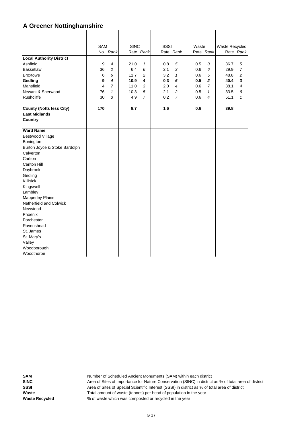|                                 | <b>SAM</b>              |                | <b>SINC</b> |                | <b>SSSI</b> |                | Waste |                         | Waste Recycled |                |
|---------------------------------|-------------------------|----------------|-------------|----------------|-------------|----------------|-------|-------------------------|----------------|----------------|
|                                 |                         | No. Rank       |             | Rate Rank      |             | Rate Rank      |       | Rate Rank               |                | Rate Rank      |
| <b>Local Authority District</b> |                         |                |             |                |             |                |       |                         |                |                |
| Ashfield                        | 9                       | $\overline{4}$ | 21.0        | $\mathbf{1}$   | 0.8         | 5              | 0.5   | 3                       | 36.7           | 5              |
| <b>Bassetlaw</b>                | 36                      | $\overline{c}$ | 6.4         | 6              | 2.1         | 3              | 0.6   | 6                       | 29.9           | $\overline{7}$ |
| <b>Broxtowe</b>                 | 6                       | 6              | 11.7        | $\overline{c}$ | 3.2         | $\mathbf{1}$   | 0.6   | $\sqrt{5}$              | 48.8           | $\overline{c}$ |
| Gedling                         | 9                       | 4              | 10.9        | 4              | 0.3         | 6              | 0.5   | $\overline{\mathbf{2}}$ | 40.4           | 3              |
| Mansfield                       | $\overline{\mathbf{4}}$ | $\overline{7}$ | 11.0        | 3              | 2.0         | $\overline{4}$ | 0.6   | $\overline{7}$          | 38.1           | 4              |
| Newark & Sherwood               | 76                      | $\mathbf{1}$   | 10.3        | 5              | 2.1         | 2              | 0.5   | $\mathbf{1}$            | 33.5           | 6              |
| <b>Rushcliffe</b>               | 30                      | 3              | 4.9         | $\overline{7}$ | 0.2         | $\overline{7}$ | 0.6   | $\overline{4}$          | 51.1           | 1              |
| <b>County (Notts less City)</b> | 170                     |                | 8.7         |                | 1.6         |                | 0.6   |                         | 39.8           |                |
| <b>East Midlands</b>            |                         |                |             |                |             |                |       |                         |                |                |
| <b>Country</b>                  |                         |                |             |                |             |                |       |                         |                |                |
|                                 |                         |                |             |                |             |                |       |                         |                |                |
| <b>Ward Name</b>                |                         |                |             |                |             |                |       |                         |                |                |
| <b>Bestwood Village</b>         |                         |                |             |                |             |                |       |                         |                |                |
| Bonington                       |                         |                |             |                |             |                |       |                         |                |                |
| Burton Joyce & Stoke Bardolph   |                         |                |             |                |             |                |       |                         |                |                |
| Calverton                       |                         |                |             |                |             |                |       |                         |                |                |
| Carlton                         |                         |                |             |                |             |                |       |                         |                |                |
| Carlton Hill                    |                         |                |             |                |             |                |       |                         |                |                |
| Daybrook                        |                         |                |             |                |             |                |       |                         |                |                |
| Gedling                         |                         |                |             |                |             |                |       |                         |                |                |
| Killisick                       |                         |                |             |                |             |                |       |                         |                |                |
| Kingswell                       |                         |                |             |                |             |                |       |                         |                |                |
| Lambley                         |                         |                |             |                |             |                |       |                         |                |                |
| <b>Mapperley Plains</b>         |                         |                |             |                |             |                |       |                         |                |                |
| Netherfield and Colwick         |                         |                |             |                |             |                |       |                         |                |                |
| Newstead                        |                         |                |             |                |             |                |       |                         |                |                |
| Phoenix                         |                         |                |             |                |             |                |       |                         |                |                |
| Porchester                      |                         |                |             |                |             |                |       |                         |                |                |
| Ravenshead                      |                         |                |             |                |             |                |       |                         |                |                |
| St. James                       |                         |                |             |                |             |                |       |                         |                |                |
| St. Mary's                      |                         |                |             |                |             |                |       |                         |                |                |
| Valley                          |                         |                |             |                |             |                |       |                         |                |                |
| Woodborough                     |                         |                |             |                |             |                |       |                         |                |                |
| Woodthorpe                      |                         |                |             |                |             |                |       |                         |                |                |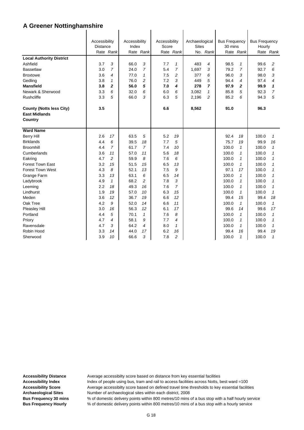|                                                         | Accessibility<br><b>Distance</b> |                | Accessibility<br>Index |                | Accessibility<br>Score |                | Archaeological<br><b>Sites</b> |                | <b>Bus Frequency</b><br>30 mins |              | <b>Bus Frequency</b><br>Hourly |                |
|---------------------------------------------------------|----------------------------------|----------------|------------------------|----------------|------------------------|----------------|--------------------------------|----------------|---------------------------------|--------------|--------------------------------|----------------|
|                                                         |                                  | Rate Rank      |                        | Rate Rank      |                        | Rate Rank      |                                | No. Rank       |                                 | Rate Rank    |                                | Rate Rank      |
| <b>Local Authority District</b>                         |                                  |                |                        |                |                        |                |                                |                |                                 |              |                                |                |
| Ashfield                                                | 3.7                              | 3              | 66.0                   | 3              | 7.7                    | $\mathbf{1}$   | 483                            | 4              | 98.5                            | $\mathcal I$ | 99.6                           | 2              |
| <b>Bassetlaw</b>                                        | 3.0                              | $\overline{7}$ | 24.0                   | $\overline{7}$ | 5.4                    | $\overline{7}$ | 1,697                          | 3              | 79.2                            | 7            | 92.7                           | 6              |
| <b>Broxtowe</b>                                         | 3.6                              | 4              | 77.0                   | $\mathcal I$   | 7.5                    | $\overline{c}$ | 377                            | 6              | 96.0                            | 3            | 98.0                           | 3              |
| Gedling                                                 | 3.8                              | $\mathcal I$   | 76.0                   | $\overline{c}$ | 7.2                    | 3              | 449                            | 5              | 94.4                            | 4            | 97.4                           | 4              |
| <b>Mansfield</b>                                        | 3.8                              | 2              | 56.0                   | 5              | 7.0                    | 4              | 278                            | $\overline{7}$ | 97.9                            | 2            | 99.9                           | 1              |
| Newark & Sherwood                                       | 3.3                              | 6              | 32.0                   | 6              | 6.0                    | 6              | 3.082                          | 1              | 85.8                            | 5            | 92.3                           | $\overline{7}$ |
| <b>Rushcliffe</b>                                       | 3.3                              | 5              | 66.0                   | 3              | 6.3                    | 5              | 2,196                          | 2              | 85.2                            | 6            | 94.3                           | 5              |
| <b>County (Notts less City)</b><br><b>East Midlands</b> | 3.5                              |                |                        |                | 6.6                    |                | 8,562                          |                | 91.0                            |              | 96.3                           |                |
| Country                                                 |                                  |                |                        |                |                        |                |                                |                |                                 |              |                                |                |
| <b>Ward Name</b>                                        |                                  |                |                        |                |                        |                |                                |                |                                 |              |                                |                |
| <b>Berry Hill</b>                                       | 2.6                              | 17             | 63.5                   | 5              | 5.2                    | 19             |                                |                | 92.4                            | 18           | 100.0                          | 1              |
| <b>Birklands</b>                                        | 4.4                              | 6              | 39.5                   | 18             | 7.7                    | 5              |                                |                | 75.7                            | 19           | 99.9                           | 16             |
| <b>Broomhill</b>                                        | 4.4                              | $\overline{7}$ | 61.7                   | $\overline{7}$ | 7.4                    | 10             |                                |                | 100.0                           | $\mathcal I$ | 100.0                          | $\mathbf{1}$   |
| Cumberlands                                             | 3.6                              | 11             | 57.0                   | 11             | 5.6                    | 18             |                                |                | 100.0                           | $\mathbf{1}$ | 100.0                          | 1              |
| Eakring                                                 | 4.7                              | $\overline{c}$ | 59.9                   | 8              | 7.6                    | 6              |                                |                | 100.0                           | $\mathbf{1}$ | 100.0                          | 1              |
| Forest Town East                                        | 3.2                              | 15             | 51.5                   | 15             | 6.5                    | 13             |                                |                | 100.0                           | $\mathbf{1}$ | 100.0                          | 1              |
| <b>Forest Town West</b>                                 | 4.3                              | 8              | 52.1                   | 13             | 7.5                    | 9              |                                |                | 97.1                            | 17           | 100.0                          | 1              |
| Grange Farm                                             | 3.3                              | 13             | 63.1                   | 6              | 6.5                    | 14             |                                |                | 100.0                           | $\mathcal I$ | 100.0                          | 1              |
| Ladybrook                                               | 4.9                              | $\mathbf{1}$   | 68.2                   | $\overline{c}$ | 7.8                    | 3              |                                |                | 100.0                           | $\mathbf{1}$ | 100.0                          | 1              |
| Leeming                                                 | 2.2                              | 18             | 49.3                   | 16             | 7.6                    | $\overline{7}$ |                                |                | 100.0                           | $\mathcal I$ | 100.0                          | 1              |
| Lindhurst                                               | 1.9                              | 19             | 57.0                   | 10             | 6.3                    | 15             |                                |                | 100.0                           | $\mathbf{1}$ | 100.0                          | $\mathbf{1}$   |
| Meden                                                   | 3.6                              | 12             | 36.7                   | 19             | 6.6                    | 12             |                                |                | 99.4                            | 15           | 99.4                           | 18             |
| Oak Tree                                                | 4.2                              | 9              | 52.0                   | 14             | 6.6                    | 11             |                                |                | 100.0                           | $\mathbf{1}$ | 100.0                          | $\mathbf{1}$   |
| <b>Pleasley Hill</b>                                    | 3.0                              | 16             | 56.3                   | 12             | 6.1                    | 17             |                                |                | 99.6                            | 14           | 99.6                           | 17             |
| Portland                                                | 4.4                              | 5              | 70.1                   | $\mathcal I$   | 7.6                    | 8              |                                |                | 100.0                           | $\mathbf{1}$ | 100.0                          | $\mathbf{1}$   |
| Priory                                                  | 4.7                              | 4              | 58.1                   | 9              | 7.7                    | 4              |                                |                | 100.0                           | 1            | 100.0                          | $\mathbf{1}$   |
| Ravensdale                                              | 4.7                              | 3              | 64.2                   | 4              | 8.0                    | $\mathbf{1}$   |                                |                | 100.0                           | $\mathcal I$ | 100.0                          | $\mathbf{1}$   |
| Robin Hood                                              | 3.3                              | 14             | 44.0                   | 17             | 6.2                    | 16             |                                |                | 99.4                            | 16           | 99.4                           | 19             |
| Sherwood                                                | 3.9                              | 10             | 66.6                   | 3              | 7.8                    | 2              |                                |                | 100.0                           | 1            | 100.0                          | 1              |

Accessibility Distance **Average accessibilty score based on distance from key essential facilities** Accessibility Index **Index** Index of people using bus, tram and rail to access facilities across Notts, best ward =100 **Accessibility Score** Average accessibilty score based on defined travel time thresholds to key essential facilities **Archaeological Sites** Number of archaeological sites within each district, 2008

**Bus Frequency 30 mins** % of domestic delivery points within 800 metres/10 mins of a bus stop with a half hourly service **Bus Frequency Hourly** % of domestic delivery points within 800 metres/10 mins of a bus stop with a hourly service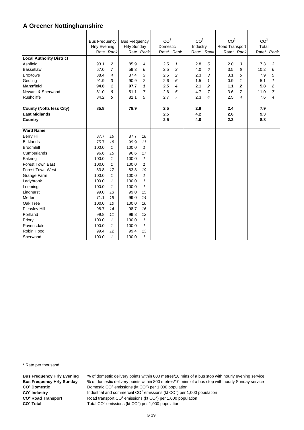|                                                         | <b>Bus Frequency</b><br><b>Hrly Evening</b> | Rate Rank      | <b>Bus Frequency</b><br><b>Hrly Sunday</b> | Rate Rank      | CO <sup>2</sup><br>Domestic<br>Rate* Rank |              | CO <sup>2</sup><br>Industry<br>Rate* Rank |              | CO <sup>2</sup><br>Road Transport | Rate* Rank     | CO <sup>2</sup><br>Total | Rate* Rank     |
|---------------------------------------------------------|---------------------------------------------|----------------|--------------------------------------------|----------------|-------------------------------------------|--------------|-------------------------------------------|--------------|-----------------------------------|----------------|--------------------------|----------------|
| <b>Local Authority District</b>                         |                                             |                |                                            |                |                                           |              |                                           |              |                                   |                |                          |                |
| Ashfield                                                | 93.1                                        | 2              | 85.9                                       | 4              | 2.5                                       | $\mathbf{1}$ | 2.8                                       | 5            | 2.0                               | 3              | 7.3                      | 3              |
| <b>Bassetlaw</b>                                        | 67.0                                        | $\overline{7}$ | 59.3                                       | 6              | 2.5                                       | 3            | 4.0                                       | 6            | 3.5                               | 6              | 10.2                     | 6              |
| <b>Broxtowe</b>                                         | 88.4                                        | 4              | 87.4                                       | 3              | 2.5                                       | 2            | 2.3                                       | 3            | 3.1                               | 5              | 7.9                      | 5              |
| Gedling                                                 | 91.9                                        | 3              | 90.9                                       | 2              | 2.6                                       | 6            | 1.5                                       | $\mathbf{1}$ | 0.9                               | $\mathbf{1}$   | 5.1                      | $\mathbf{1}$   |
| <b>Mansfield</b>                                        | 94.8                                        | 1              | 97.7                                       | 1              | 2.5                                       | 4            | 2.1                                       | 2            | $1.1$                             | 2              | 5.8                      | $\overline{2}$ |
| Newark & Sherwood                                       | 81.0                                        | 6              | 51.1                                       | $\overline{7}$ | 2.6                                       | 5            | 4.7                                       | 7            | 3.6                               | $\overline{7}$ | 11.0                     | $\overline{7}$ |
| Rushcliffe                                              | 84.2                                        | 5              | 81.1                                       | 5              | 2.7                                       | 7            | 2.3                                       | 4            | 2.5                               | 4              | 7.6                      | 4              |
| <b>County (Notts less City)</b><br><b>East Midlands</b> | 85.8                                        |                | 78.9                                       |                | 2.5<br>2.5                                |              | 2.9<br>4.2                                |              | 2.4<br>2.6                        |                | 7.9<br>9.3               |                |
| Country                                                 |                                             |                |                                            |                | 2.5                                       |              | 4.0                                       |              | 2.2                               |                | 8.8                      |                |
| <b>Ward Name</b>                                        |                                             |                |                                            |                |                                           |              |                                           |              |                                   |                |                          |                |
| <b>Berry Hill</b>                                       | 87.7                                        | 16             | 87.7                                       | 18             |                                           |              |                                           |              |                                   |                |                          |                |
| <b>Birklands</b>                                        | 75.7                                        | 18             | 99.9                                       | 11             |                                           |              |                                           |              |                                   |                |                          |                |
| <b>Broomhill</b>                                        | 100.0                                       | $\mathbf{1}$   | 100.0                                      | $\mathbf{1}$   |                                           |              |                                           |              |                                   |                |                          |                |
| Cumberlands                                             | 96.6                                        | 15             | 96.6                                       | 17             |                                           |              |                                           |              |                                   |                |                          |                |
| Eakring                                                 | 100.0                                       | $\mathbf{1}$   | 100.0                                      | $\mathbf{1}$   |                                           |              |                                           |              |                                   |                |                          |                |
| Forest Town East                                        | 100.0                                       | $\mathbf{1}$   | 100.0                                      | $\mathbf{1}$   |                                           |              |                                           |              |                                   |                |                          |                |
| <b>Forest Town West</b>                                 | 83.8                                        | 17             | 83.8                                       | 19             |                                           |              |                                           |              |                                   |                |                          |                |
| Grange Farm                                             | 100.0                                       | $\mathbf{1}$   | 100.0                                      | $\mathbf{1}$   |                                           |              |                                           |              |                                   |                |                          |                |
| Ladybrook                                               | 100.0                                       | $\mathbf{1}$   | 100.0                                      | $\mathbf{1}$   |                                           |              |                                           |              |                                   |                |                          |                |
| Leeming                                                 | 100.0                                       | $\mathbf{1}$   | 100.0                                      | $\mathbf{1}$   |                                           |              |                                           |              |                                   |                |                          |                |
| Lindhurst                                               | 99.0                                        | 13             | 99.0                                       | 15             |                                           |              |                                           |              |                                   |                |                          |                |
| Meden                                                   | 71.1                                        | 19             | 99.0                                       | 14             |                                           |              |                                           |              |                                   |                |                          |                |
| Oak Tree                                                | 100.0                                       | 10             | 100.0                                      | 10             |                                           |              |                                           |              |                                   |                |                          |                |
| Pleasley Hill                                           | 98.7                                        | 14             | 98.7                                       | 16             |                                           |              |                                           |              |                                   |                |                          |                |
| Portland                                                | 99.8                                        | 11             | 99.8                                       | 12             |                                           |              |                                           |              |                                   |                |                          |                |
| Priory                                                  | 100.0                                       | $\mathbf{1}$   | 100.0                                      | $\mathbf{1}$   |                                           |              |                                           |              |                                   |                |                          |                |
| Ravensdale                                              | 100.0                                       | $\mathbf{1}$   | 100.0                                      | 1              |                                           |              |                                           |              |                                   |                |                          |                |
| Robin Hood                                              | 99.4                                        | 12             | 99.4                                       | 13             |                                           |              |                                           |              |                                   |                |                          |                |
| Sherwood                                                | 100.0                                       | $\mathbf{1}$   | 100.0                                      | 1              |                                           |              |                                           |              |                                   |                |                          |                |

\* Rate per thousand

**CO2 CO2 CO<sup>2</sup> Road Transport** CO<sup>2</sup> Total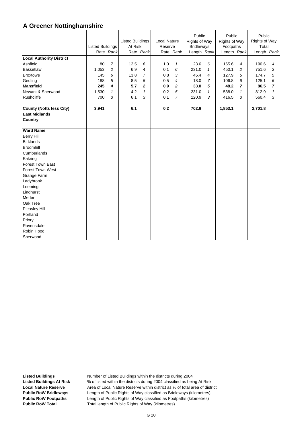|                                                                    | <b>Listed Buildings</b> | Rate Rank      | <b>Listed Buildings</b><br>At Risk | Rate Rank      | <b>Local Nature</b><br>Reserve | Rate Rank      | Public<br>Rights of Way<br><b>Bridleways</b><br>Length Rank |                | Public<br><b>Rights of Way</b><br>Footpaths<br>Length Rank |                | Public<br><b>Rights of Way</b><br>Total<br>Length Rank |                |
|--------------------------------------------------------------------|-------------------------|----------------|------------------------------------|----------------|--------------------------------|----------------|-------------------------------------------------------------|----------------|------------------------------------------------------------|----------------|--------------------------------------------------------|----------------|
| <b>Local Authority District</b>                                    |                         |                |                                    |                |                                |                |                                                             |                |                                                            |                |                                                        |                |
| Ashfield                                                           | 80                      | $\overline{7}$ | 12.5                               | 6              | 1.0                            | $\mathbf{1}$   | 23.6                                                        | 6              | 165.6                                                      | 4              | 190.6                                                  | 4              |
| <b>Bassetlaw</b>                                                   | 1,053                   | $\overline{c}$ | 6.9                                | 4              | 0.1                            | 6              | 231.0                                                       | 1              | 450.1                                                      | 2              | 751.6                                                  | $\overline{c}$ |
| <b>Broxtowe</b>                                                    | 145                     | 6              | 13.8                               | $\overline{7}$ | 0.8                            | 3              | 45.4                                                        | $\overline{4}$ | 127.9                                                      | 5              | 174.7                                                  | 5              |
| Gedling                                                            | 188                     | 5              | 8.5                                | 5              | 0.5                            | $\overline{4}$ | 18.0                                                        | $\overline{7}$ | 106.8                                                      | 6              | 125.1                                                  | 6              |
| <b>Mansfield</b>                                                   | 245                     | 4              | 5.7                                | $\mathbf{z}$   | 0.9                            | $\mathbf{2}$   | 33.0                                                        | 5              | 48.2                                                       | $\overline{ }$ | 86.5                                                   | $\overline{7}$ |
| Newark & Sherwood                                                  | 1,530                   | $\mathcal I$   | 4.2                                | $\mathbf{1}$   | 0.2                            | 5              | 231.0                                                       | $\mathbf{1}$   | 538.0                                                      | $\mathbf{1}$   | 812.9                                                  | $\mathbf{1}$   |
| Rushcliffe                                                         | 700                     | 3              | 6.1                                | 3              | 0.1                            | $\overline{7}$ | 120.9                                                       | 3              | 416.5                                                      | 3              | 560.4                                                  | 3              |
| <b>County (Notts less City)</b><br><b>East Midlands</b><br>Country | 3,941                   |                | 6.1                                |                | 0.2                            |                | 702.9                                                       |                | 1,853.1                                                    |                | 2,701.8                                                |                |
| <b>Ward Name</b>                                                   |                         |                |                                    |                |                                |                |                                                             |                |                                                            |                |                                                        |                |
| <b>Berry Hill</b>                                                  |                         |                |                                    |                |                                |                |                                                             |                |                                                            |                |                                                        |                |
| <b>Birklands</b>                                                   |                         |                |                                    |                |                                |                |                                                             |                |                                                            |                |                                                        |                |
| <b>Broomhill</b>                                                   |                         |                |                                    |                |                                |                |                                                             |                |                                                            |                |                                                        |                |
| Cumberlands                                                        |                         |                |                                    |                |                                |                |                                                             |                |                                                            |                |                                                        |                |
| Eakring                                                            |                         |                |                                    |                |                                |                |                                                             |                |                                                            |                |                                                        |                |
| <b>Forest Town East</b>                                            |                         |                |                                    |                |                                |                |                                                             |                |                                                            |                |                                                        |                |
| <b>Forest Town West</b>                                            |                         |                |                                    |                |                                |                |                                                             |                |                                                            |                |                                                        |                |
| Grange Farm                                                        |                         |                |                                    |                |                                |                |                                                             |                |                                                            |                |                                                        |                |
| Ladybrook                                                          |                         |                |                                    |                |                                |                |                                                             |                |                                                            |                |                                                        |                |
| Leeming                                                            |                         |                |                                    |                |                                |                |                                                             |                |                                                            |                |                                                        |                |
| Lindhurst                                                          |                         |                |                                    |                |                                |                |                                                             |                |                                                            |                |                                                        |                |
| Meden                                                              |                         |                |                                    |                |                                |                |                                                             |                |                                                            |                |                                                        |                |
| Oak Tree                                                           |                         |                |                                    |                |                                |                |                                                             |                |                                                            |                |                                                        |                |
| Pleasley Hill                                                      |                         |                |                                    |                |                                |                |                                                             |                |                                                            |                |                                                        |                |
| Portland                                                           |                         |                |                                    |                |                                |                |                                                             |                |                                                            |                |                                                        |                |
| Priory                                                             |                         |                |                                    |                |                                |                |                                                             |                |                                                            |                |                                                        |                |
| Ravensdale                                                         |                         |                |                                    |                |                                |                |                                                             |                |                                                            |                |                                                        |                |
| Robin Hood                                                         |                         |                |                                    |                |                                |                |                                                             |                |                                                            |                |                                                        |                |
| Sherwood                                                           |                         |                |                                    |                |                                |                |                                                             |                |                                                            |                |                                                        |                |

l.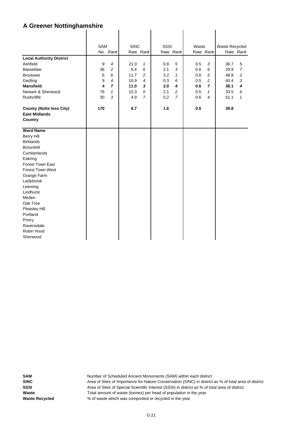|                                 | <b>SAM</b> |                | <b>SINC</b> |                | SSSI |                | Waste |                | Waste Recycled |                |
|---------------------------------|------------|----------------|-------------|----------------|------|----------------|-------|----------------|----------------|----------------|
|                                 |            | No. Rank       |             | Rate Rank      |      | Rate Rank      |       | Rate Rank      |                | Rate Rank      |
| <b>Local Authority District</b> |            |                |             |                |      |                |       |                |                |                |
| Ashfield                        | 9          | $\overline{4}$ | 21.0        | $\mathbf{1}$   | 0.8  | 5              | 0.5   | 3              | 36.7           | 5              |
| <b>Bassetlaw</b>                | 36         | $\overline{c}$ | 6.4         | 6              | 2.1  | 3              | 0.6   | 6              | 29.9           | $\overline{7}$ |
| <b>Broxtowe</b>                 | 6          | 6              | 11.7        | 2              | 3.2  | $\mathbf{1}$   | 0.6   | 5              | 48.8           | 2              |
| Gedling                         | 9          | $\overline{4}$ | 10.9        | $\overline{4}$ | 0.3  | 6              | 0.5   | $\overline{c}$ | 40.4           | 3              |
| <b>Mansfield</b>                | 4          | $\overline{7}$ | 11.0        | 3              | 2.0  | 4              | 0.6   | $\overline{7}$ | 38.1           | 4              |
| Newark & Sherwood               | 76         | 1              | 10.3        | 5              | 2.1  | 2              | 0.5   | 1              | 33.5           | 6              |
| Rushcliffe                      | 30         | 3              | 4.9         | $\overline{7}$ | 0.2  | $\overline{7}$ | 0.6   | $\overline{4}$ | 51.1           | $\mathbf{1}$   |
|                                 |            |                |             |                |      |                |       |                |                |                |
| <b>County (Notts less City)</b> | 170        |                | 8.7         |                | 1.6  |                | 0.6   |                | 39.8           |                |
| <b>East Midlands</b>            |            |                |             |                |      |                |       |                |                |                |
| Country                         |            |                |             |                |      |                |       |                |                |                |
|                                 |            |                |             |                |      |                |       |                |                |                |
| <b>Ward Name</b>                |            |                |             |                |      |                |       |                |                |                |
| <b>Berry Hill</b>               |            |                |             |                |      |                |       |                |                |                |
| <b>Birklands</b>                |            |                |             |                |      |                |       |                |                |                |
| <b>Broomhill</b>                |            |                |             |                |      |                |       |                |                |                |
| Cumberlands                     |            |                |             |                |      |                |       |                |                |                |
| Eakring                         |            |                |             |                |      |                |       |                |                |                |
| <b>Forest Town East</b>         |            |                |             |                |      |                |       |                |                |                |
| <b>Forest Town West</b>         |            |                |             |                |      |                |       |                |                |                |
| Grange Farm                     |            |                |             |                |      |                |       |                |                |                |
| Ladybrook                       |            |                |             |                |      |                |       |                |                |                |
| Leeming                         |            |                |             |                |      |                |       |                |                |                |
| Lindhurst                       |            |                |             |                |      |                |       |                |                |                |
| Meden                           |            |                |             |                |      |                |       |                |                |                |
| Oak Tree                        |            |                |             |                |      |                |       |                |                |                |
| Pleasley Hill                   |            |                |             |                |      |                |       |                |                |                |
| Portland                        |            |                |             |                |      |                |       |                |                |                |
| Priory                          |            |                |             |                |      |                |       |                |                |                |
| Ravensdale                      |            |                |             |                |      |                |       |                |                |                |
| Robin Hood                      |            |                |             |                |      |                |       |                |                |                |
| Sherwood                        |            |                |             |                |      |                |       |                |                |                |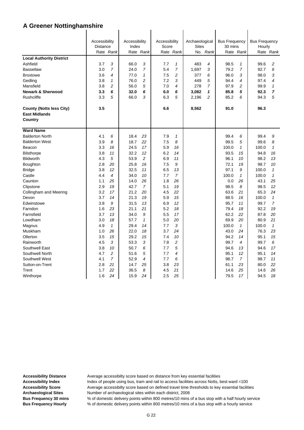|                                 | Accessibility<br><b>Distance</b> |                | Accessibility<br>Index |                | Accessibility<br>Score |                | Archaeological<br><b>Sites</b> |                | <b>Bus Frequency</b><br>30 mins |                | <b>Bus Frequency</b><br>Hourly |                |
|---------------------------------|----------------------------------|----------------|------------------------|----------------|------------------------|----------------|--------------------------------|----------------|---------------------------------|----------------|--------------------------------|----------------|
|                                 |                                  | Rate Rank      |                        | Rate Rank      |                        | Rate Rank      |                                | No. Rank       |                                 | Rate Rank      |                                | Rate Rank      |
| <b>Local Authority District</b> |                                  |                |                        |                |                        |                |                                |                |                                 |                |                                |                |
| Ashfield                        | 3.7                              | 3              | 66.0                   | 3              | 7.7                    | $\mathbf{1}$   | 483                            | $\overline{4}$ | 98.5                            | $\mathcal I$   | 99.6                           | 2              |
| <b>Bassetlaw</b>                | 3.0                              | $\overline{7}$ | 24.0                   | $\overline{7}$ | 5.4                    | $\overline{7}$ | 1,697                          | 3              | 79.2                            | $\overline{7}$ | 92.7                           | 6              |
| <b>Broxtowe</b>                 | 3.6                              | 4              | 77.0                   | $\mathbf 1$    | 7.5                    | $\overline{c}$ | 377                            | 6              | 96.0                            | 3              | 98.0                           | 3              |
| Gedling                         | 3.8                              | $\mathbf{1}$   | 76.0                   | 2              | 7.2                    | 3              | 449                            | 5              | 94.4                            | 4              | 97.4                           | 4              |
| Mansfield                       | 3.8                              | $\overline{c}$ | 56.0                   | 5              | 7.0                    | 4              | 278                            | $\overline{7}$ | 97.9                            | 2              | 99.9                           | $\mathbf{1}$   |
| <b>Newark &amp; Sherwood</b>    | 3.3                              | 6              | 32.0                   | 6              | 6.0                    | 6              | 3,082                          | 1              | 85.8                            | 5              | 92.3                           | 7              |
| <b>Rushcliffe</b>               | 3.3                              | 5              | 66.0                   | 3              | 6.3                    | 5              | 2,196                          | $\overline{c}$ | 85.2                            | 6              | 94.3                           | 5              |
|                                 |                                  |                |                        |                |                        |                |                                |                |                                 |                |                                |                |
| <b>County (Notts less City)</b> | 3.5                              |                |                        |                | 6.6                    |                | 8,562                          |                | 91.0                            |                | 96.3                           |                |
| <b>East Midlands</b>            |                                  |                |                        |                |                        |                |                                |                |                                 |                |                                |                |
| Country                         |                                  |                |                        |                |                        |                |                                |                |                                 |                |                                |                |
| <b>Ward Name</b>                |                                  |                |                        |                |                        |                |                                |                |                                 |                |                                |                |
| <b>Balderton North</b>          | 4.1                              | 6              | 18.4                   | 23             | 7.9                    | $\mathbf{1}$   |                                |                | 99.4                            | 6              | 99.4                           | 9              |
| <b>Balderton West</b>           | 3.9                              | 8              | 18.7                   | 22             | 7.5                    | 8              |                                |                | 99.5                            | 5              | 99.6                           | 8              |
| Beacon                          | 3.3                              | 16             | 24.5                   | 17             | 5.9                    | 16             |                                |                | 100.0                           | $\mathbf{1}$   | 100.0                          | $\mathbf{1}$   |
| <b>Bilsthorpe</b>               | 3.8                              | 11             | 32.2                   | 12             | 6.2                    | 14             |                                |                | 93.5                            | 15             | 94.8                           | 16             |
| <b>Blidworth</b>                | 4.3                              | 5              | 53.9                   | $\overline{c}$ | 6.9                    | 11             |                                |                | 96.1                            | 10             | 98.2                           | 13             |
| Boughton                        | 2.8                              | 20             | 25.8                   | 16             | 7.5                    | 9              |                                |                | 72.1                            | 19             | 98.7                           | 10             |
| <b>Bridge</b>                   | 3.8                              | 12             | 32.5                   | 11             | 6.5                    | 13             |                                |                | 97.1                            | 9              | 100.0                          | $\mathbf{1}$   |
| Castle                          | 4.4                              | 4              | 34.0                   | 10             | 7.7                    | $\overline{7}$ |                                |                | 100.0                           | $\mathcal I$   | 100.0                          | $\mathbf{1}$   |
| Caunton                         | 1.1                              | 25             | 14.0                   | 26             | 1.8                    | 26             |                                |                | 0.0                             | 26             | 43.1                           | 25             |
| Clipstone                       | 2.9                              | 19             | 42.7                   | $\overline{7}$ | 5.1                    | 19             |                                |                | 98.5                            | 8              | 98.5                           | 12             |
| Collingham and Meering          | 3.2                              | 17             | 21.2                   | 20             | 4.5                    | 22             |                                |                | 63.6                            | 21             | 65.3                           | 24             |
| Devon                           | 3.7                              | 14             | 21.3                   | 19             | 5.9                    | 15             |                                |                | 88.5                            | 16             | 100.0                          | $\mathbf{1}$   |
| Edwinstowe                      | 3.8                              | 9              | 31.5                   | 13             | 6.9                    | 12             |                                |                | 95.7                            | 11             | 99.7                           | $\overline{7}$ |
| Farndon                         | 1.6                              | 23             | 21.1                   | 21             | 5.2                    | 18             |                                |                | 79.4                            | 18             | 92.2                           | 19             |
| Farnsfield                      | 3.7                              | 13             | 34.0                   | 9              | 5.5                    | 17             |                                |                | 62.2                            | 22             | 87.8                           | 20             |
| Lowdham                         | 3.0                              | 18             | 57.7                   | $\mathbf{1}$   | 5.0                    | 20             |                                |                | 69.9                            | 20             | 80.9                           | 21             |
| Magnus                          | 4.9                              | $\mathbf{1}$   | 29.4                   | 14             | 7.7                    | 3              |                                |                | 100.0                           | $\mathbf{1}$   | 100.0                          | $\mathbf{1}$   |
| Muskham                         | 1.0                              | 26             | 22.0                   | 18             | 3.7                    | 24             |                                |                | 43.0                            | 24             | 76.3                           | 23             |
| Ollerton                        | 3.5                              | 15             | 29.2                   | 15             | 7.4                    | 10             |                                |                | 94.2                            | 14             | 95.1                           | 15             |
| Rainworth                       | 4.5                              | 3              | 53.3                   | 3              | 7.8                    | 2              |                                |                | 99.7                            | 4              | 99.7                           | 6              |
| Southwell East                  | 3.8                              | 10             | 50.7                   | 6              | 7.7                    | 5              |                                |                | 94.6                            | 13             | 94.6                           | 17             |
| Southwell North                 | 4.7                              | 2              | 51.6                   | 5              | 7.7                    | 4              |                                |                | 95.1                            | 12             | 95.1                           | 14             |
| Southwell West                  | 4.1                              | $\overline{7}$ | 52.9                   | 4              | 7.7                    | 6              |                                |                | 98.7                            | $\overline{7}$ | 98.7                           | 11             |
| Sutton-on-Trent                 | 2.8                              | 21             | 14.7                   | 25             | 3.8                    | 23             |                                |                | 61.1                            | 23             | 80.0                           | 22             |
| Trent                           | 1.7                              | 22             | 36.5                   | 8              | 4.5                    | 21             |                                |                | 14.6                            | 25             | 14.6                           | 26             |
| Winthorpe                       | 1.6                              | 24             | 15.9                   | 24             | 2.5                    | 25             |                                |                | 79.5                            | 17             | 94.5                           | 18             |

Accessibility Distance **Average accessibilty score based on distance from key essential facilities** 

Accessibility Index **Index** Index of people using bus, tram and rail to access facilities across Notts, best ward =100 Accessibility Score **Average accessibilty score based on defined travel time thresholds to key essential facilities Archaeological Sites** Number of archaeological sites within each district, 2008

**Bus Frequency 30 mins** % of domestic delivery points within 800 metres/10 mins of a bus stop with a half hourly service **Bus Frequency Hourly** % of domestic delivery points within 800 metres/10 mins of a bus stop with a hourly service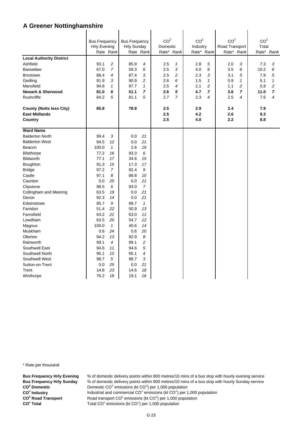|                                                         | <b>Bus Frequency</b><br><b>Hrly Evening</b> | Rate Rank      | <b>Bus Frequency</b><br><b>Hrly Sunday</b> | Rate Rank      | CO <sup>2</sup><br>Domestic<br>Rate* Rank |              | CO <sup>2</sup><br>Industry | Rate* Rank     | CO <sup>2</sup><br>Road Transport | Rate* Rank   | CO <sup>2</sup><br>Total | Rate* Rank     |
|---------------------------------------------------------|---------------------------------------------|----------------|--------------------------------------------|----------------|-------------------------------------------|--------------|-----------------------------|----------------|-----------------------------------|--------------|--------------------------|----------------|
| <b>Local Authority District</b>                         |                                             |                |                                            |                |                                           |              |                             |                |                                   |              |                          |                |
| Ashfield                                                | 93.1                                        | 2              | 85.9                                       | 4              | 2.5                                       | $\mathbf{1}$ | 2.8                         | 5              | 2.0                               | 3            | 7.3                      | 3              |
| <b>Bassetlaw</b>                                        | 67.0                                        | $\overline{7}$ | 59.3                                       | 6              | 2.5                                       | 3            | 4.0                         | 6              | 3.5                               | 6            | 10.2                     | 6              |
| <b>Broxtowe</b>                                         | 88.4                                        | 4              | 87.4                                       | 3              | 2.5                                       | 2            | 2.3                         | 3              | 3.1                               | 5            | 7.9                      | 5              |
| Gedling                                                 | 91.9                                        | 3              | 90.9                                       | $\overline{c}$ | 2.6                                       | 6            | 1.5                         | $\mathbf{1}$   | 0.9                               | $\mathbf{1}$ | 5.1                      | $\mathbf{1}$   |
| Mansfield                                               | 94.8                                        | $\mathbf{1}$   | 97.7                                       | $\mathbf{1}$   | 2.5                                       | 4            | 2.1                         | $\overline{c}$ | 1.1                               | 2            | 5.8                      | $\overline{c}$ |
| <b>Newark &amp; Sherwood</b>                            | 81.0                                        | 6              | 51.1                                       | 7              | 2.6                                       | 5            | 4.7                         | $\overline{7}$ | 3.6                               | 7            | 11.0                     | 7              |
| Rushcliffe                                              | 84.2                                        | 5              | 81.1                                       | 5              | 2.7                                       | 7            | 2.3                         | $\overline{4}$ | 2.5                               | 4            | 7.6                      | 4              |
| <b>County (Notts less City)</b><br><b>East Midlands</b> | 85.8                                        |                | 78.9                                       |                | 2.5<br>2.5                                |              | 2.9<br>4.2                  |                | 2.4<br>2.6                        |              | 7.9<br>9.3               |                |
| Country                                                 |                                             |                |                                            |                | 2.5                                       |              | 4.0                         |                | 2.2                               |              | 8.8                      |                |
| <b>Ward Name</b>                                        |                                             |                |                                            |                |                                           |              |                             |                |                                   |              |                          |                |
| <b>Balderton North</b>                                  | 99.4                                        | 3              | 0.0                                        | 21             |                                           |              |                             |                |                                   |              |                          |                |
| <b>Balderton West</b>                                   | 94.5                                        | 12             | 0.0                                        | 21             |                                           |              |                             |                |                                   |              |                          |                |
| Beacon                                                  | 100.0                                       | $\mathbf{1}$   | 2.6                                        | 19             |                                           |              |                             |                |                                   |              |                          |                |
| <b>Bilsthorpe</b>                                       | 77.2                                        | 16             | 93.3                                       | 6              |                                           |              |                             |                |                                   |              |                          |                |
| <b>Blidworth</b>                                        | 77.1                                        | 17             | 34.6                                       | 15             |                                           |              |                             |                |                                   |              |                          |                |
| Boughton                                                | 91.3                                        | 15             | 17.3                                       | 17             |                                           |              |                             |                |                                   |              |                          |                |
| <b>Bridge</b>                                           | 97.2                                        | 7              | 92.4                                       | 9              |                                           |              |                             |                |                                   |              |                          |                |
| Castle                                                  | 97.1                                        | 8              | 88.8                                       | 10             |                                           |              |                             |                |                                   |              |                          |                |
| Caunton                                                 | 0.0                                         | 25             | 0.0                                        | 21             |                                           |              |                             |                |                                   |              |                          |                |
| Clipstone                                               | 98.5                                        | 6              | 93.0                                       | $\overline{7}$ |                                           |              |                             |                |                                   |              |                          |                |
| Collingham and Meering                                  | 63.5                                        | 19             | 0.0                                        | 21             |                                           |              |                             |                |                                   |              |                          |                |
| Devon                                                   | 92.3                                        | 14             | 0.0                                        | 21             |                                           |              |                             |                |                                   |              |                          |                |
| Edwinstowe                                              | 95.7                                        | 9              | 99.7                                       | $\mathbf{1}$   |                                           |              |                             |                |                                   |              |                          |                |
| Farndon                                                 | 51.4                                        | 22             | 50.9                                       | 13             |                                           |              |                             |                |                                   |              |                          |                |
| Farnsfield                                              | 63.2                                        | 21             | 63.0                                       | 11             |                                           |              |                             |                |                                   |              |                          |                |
| Lowdham                                                 | 63.5                                        | 20             | 54.7                                       | 12             |                                           |              |                             |                |                                   |              |                          |                |
| Magnus                                                  | 100.0                                       | $\mathbf{1}$   | 40.6                                       | 14             |                                           |              |                             |                |                                   |              |                          |                |
| Muskham                                                 | 0.6                                         | 24             | 0.6                                        | 20             |                                           |              |                             |                |                                   |              |                          |                |
| Ollerton                                                | 94.2                                        | 13             | 92.9                                       | 8              |                                           |              |                             |                |                                   |              |                          |                |
| Rainworth                                               | 99.1                                        | 4              | 99.1                                       | 2              |                                           |              |                             |                |                                   |              |                          |                |
| Southwell East                                          | 94.6                                        | 11             | 94.6                                       | 5              |                                           |              |                             |                |                                   |              |                          |                |
| Southwell North                                         | 95.1                                        | 10             | 95.1                                       | $\overline{4}$ |                                           |              |                             |                |                                   |              |                          |                |
| Southwell West                                          | 98.7                                        | 5              | 98.7                                       | 3              |                                           |              |                             |                |                                   |              |                          |                |
| Sutton-on-Trent                                         | 0.0                                         | 25             | 0.0                                        | 21             |                                           |              |                             |                |                                   |              |                          |                |
| Trent                                                   | 14.6                                        | 23             | 14.6                                       | 18             |                                           |              |                             |                |                                   |              |                          |                |
| Winthorpe                                               | 76.2                                        | 18             | 19.1                                       | 16             |                                           |              |                             |                |                                   |              |                          |                |

\* Rate per thousand

**CO2 CO2 CO<sup>2</sup> Road Transport** CO<sup>2</sup> Total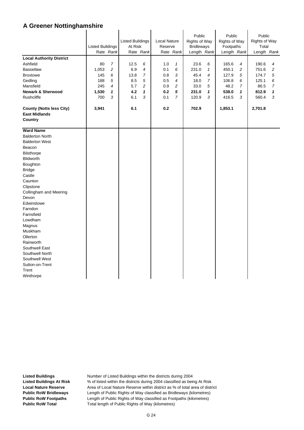| <b>Local Authority District</b><br>Ashfield<br><b>Bassetlaw</b><br><b>Broxtowe</b><br>Gedling<br>Mansfield<br><b>Newark &amp; Sherwood</b>                                                                                                                                                                                                                                                                               | <b>Listed Buildings</b><br>80<br>1,053<br>145<br>188<br>245<br>1,530 | Rate Rank<br>$\overline{7}$<br>2<br>6<br>5<br>$\overline{4}$<br>1 | 12.5<br>6.9<br>13.8<br>8.5<br>5.7<br>4.2 | <b>Listed Buildings</b><br>At Risk<br>Rate Rank<br>6<br>4<br>7<br>5<br>$\overline{c}$<br>1<br>3<br>6.1 |            | Local Nature<br>Reserve<br>Rate Rank<br>$\mathbf{1}$<br>6<br>3<br>$\overline{4}$<br>2<br>5 | Public<br>Rights of Way<br><b>Bridleways</b><br>Length Rank<br>23.6<br>231.0<br>45.4<br>18.0<br>33.0<br>231.0 | 6<br>$\mathbf{1}$<br>$\overline{4}$<br>7<br>5<br>1 | Public<br><b>Rights of Way</b><br>Footpaths<br>Length Rank<br>165.6<br>450.1<br>127.9<br>106.8<br>48.2<br>538.0 | 4<br>2<br>5<br>6<br>7<br>1 | Public<br>Rights of Way<br>Total<br>Length Rank<br>190.6<br>751.6<br>174.7<br>125.1<br>86.5<br>812.9 | 4<br>2<br>5<br>6<br>$\overline{7}$<br>1 |
|--------------------------------------------------------------------------------------------------------------------------------------------------------------------------------------------------------------------------------------------------------------------------------------------------------------------------------------------------------------------------------------------------------------------------|----------------------------------------------------------------------|-------------------------------------------------------------------|------------------------------------------|--------------------------------------------------------------------------------------------------------|------------|--------------------------------------------------------------------------------------------|---------------------------------------------------------------------------------------------------------------|----------------------------------------------------|-----------------------------------------------------------------------------------------------------------------|----------------------------|------------------------------------------------------------------------------------------------------|-----------------------------------------|
| Rushcliffe<br><b>County (Notts less City)</b><br><b>East Midlands</b><br>Country                                                                                                                                                                                                                                                                                                                                         | 700<br>3,941                                                         | 3                                                                 | 6.1                                      |                                                                                                        | 0.1<br>0.2 | $\overline{7}$                                                                             | 120.9<br>702.9                                                                                                | 3                                                  | 416.5<br>1,853.1                                                                                                | 3                          | 560.4<br>2,701.8                                                                                     | 3                                       |
| <b>Ward Name</b><br><b>Balderton North</b><br><b>Balderton West</b><br>Beacon<br><b>Bilsthorpe</b><br><b>Blidworth</b><br>Boughton<br><b>Bridge</b><br>Castle<br>Caunton<br>Clipstone<br>Collingham and Meering<br>Devon<br>Edwinstowe<br>Farndon<br>Farnsfield<br>Lowdham<br>Magnus<br>Muskham<br>Ollerton<br>Rainworth<br>Southwell East<br>Southwell North<br>Southwell West<br>Sutton-on-Trent<br>Trent<br>Winthorpe |                                                                      |                                                                   |                                          |                                                                                                        |            |                                                                                            |                                                                                                               |                                                    |                                                                                                                 |                            |                                                                                                      |                                         |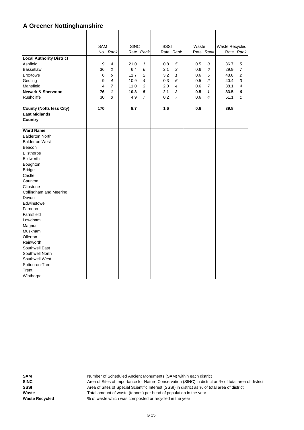|                                 | <b>SAM</b> |                | <b>SINC</b> |                | SSSI |                | Waste   |            | Waste Recycled |                |
|---------------------------------|------------|----------------|-------------|----------------|------|----------------|---------|------------|----------------|----------------|
|                                 |            | No. Rank       |             | Rate Rank      |      | Rate Rank      |         | Rate Rank  |                | Rate Rank      |
| <b>Local Authority District</b> |            |                |             |                |      |                |         |            |                |                |
| Ashfield                        | 9          | 4              | 21.0        | 1              | 0.8  | 5              | 0.5     | 3          | 36.7           | 5              |
| <b>Bassetlaw</b>                | 36         | $\overline{c}$ | 6.4         | 6              | 2.1  | 3              | 0.6     | 6          | 29.9           | $\overline{7}$ |
| <b>Broxtowe</b>                 | 6          | 6              | 11.7        | 2              | 3.2  | $\mathbf{1}$   | $0.6\,$ | 5          | 48.8           | 2              |
| Gedling                         | 9          | $\overline{4}$ | 10.9        | 4              | 0.3  | 6              | 0.5     | $\sqrt{2}$ | 40.4           | 3              |
| Mansfield                       | 4          | $\overline{7}$ | 11.0        | 3              | 2.0  | $\overline{4}$ | 0.6     | 7          | 38.1           | 4              |
| <b>Newark &amp; Sherwood</b>    | 76         | 1              | 10.3        | 5              | 2.1  | $\mathbf 2$    | 0.5     | 1          | 33.5           | 6              |
| Rushcliffe                      | 30         | 3              | 4.9         | $\overline{7}$ | 0.2  | $\overline{7}$ | 0.6     | 4          | 51.1           | $\mathcal I$   |
|                                 |            |                |             |                |      |                |         |            |                |                |
| <b>County (Notts less City)</b> | 170        |                | 8.7         |                | 1.6  |                | 0.6     |            | 39.8           |                |
| <b>East Midlands</b>            |            |                |             |                |      |                |         |            |                |                |
| Country                         |            |                |             |                |      |                |         |            |                |                |
| <b>Ward Name</b>                |            |                |             |                |      |                |         |            |                |                |
| <b>Balderton North</b>          |            |                |             |                |      |                |         |            |                |                |
| <b>Balderton West</b>           |            |                |             |                |      |                |         |            |                |                |
| Beacon                          |            |                |             |                |      |                |         |            |                |                |
| <b>Bilsthorpe</b>               |            |                |             |                |      |                |         |            |                |                |
| Blidworth                       |            |                |             |                |      |                |         |            |                |                |
| Boughton                        |            |                |             |                |      |                |         |            |                |                |
| <b>Bridge</b>                   |            |                |             |                |      |                |         |            |                |                |
| Castle                          |            |                |             |                |      |                |         |            |                |                |
| Caunton                         |            |                |             |                |      |                |         |            |                |                |
| Clipstone                       |            |                |             |                |      |                |         |            |                |                |
| Collingham and Meering          |            |                |             |                |      |                |         |            |                |                |
| Devon                           |            |                |             |                |      |                |         |            |                |                |
| Edwinstowe                      |            |                |             |                |      |                |         |            |                |                |
| Farndon                         |            |                |             |                |      |                |         |            |                |                |
| Farnsfield                      |            |                |             |                |      |                |         |            |                |                |
| Lowdham                         |            |                |             |                |      |                |         |            |                |                |
| Magnus                          |            |                |             |                |      |                |         |            |                |                |
| Muskham                         |            |                |             |                |      |                |         |            |                |                |
| Ollerton                        |            |                |             |                |      |                |         |            |                |                |
| Rainworth                       |            |                |             |                |      |                |         |            |                |                |
| Southwell East                  |            |                |             |                |      |                |         |            |                |                |
| Southwell North                 |            |                |             |                |      |                |         |            |                |                |
| Southwell West                  |            |                |             |                |      |                |         |            |                |                |
| Sutton-on-Trent                 |            |                |             |                |      |                |         |            |                |                |
| Trent                           |            |                |             |                |      |                |         |            |                |                |
| Winthorpe                       |            |                |             |                |      |                |         |            |                |                |

 $\overline{1}$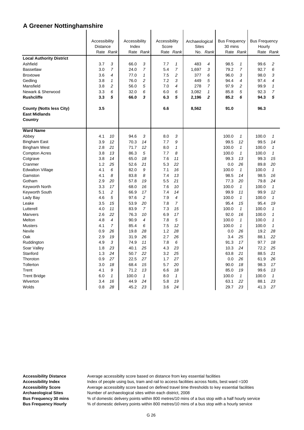|                                             | Accessibility<br><b>Distance</b> |                | Accessibility<br>Index |                | Accessibility<br>Score |                | Archaeological           |                | <b>Bus Frequency</b><br>30 mins |                    | <b>Bus Frequency</b><br>Hourly |                    |
|---------------------------------------------|----------------------------------|----------------|------------------------|----------------|------------------------|----------------|--------------------------|----------------|---------------------------------|--------------------|--------------------------------|--------------------|
|                                             |                                  | Rate Rank      |                        | Rate Rank      |                        | Rate Rank      | <b>Sites</b><br>No. Rank |                | Rate Rank                       |                    | Rate Rank                      |                    |
|                                             |                                  |                |                        |                |                        |                |                          |                |                                 |                    |                                |                    |
| <b>Local Authority District</b><br>Ashfield | 3.7                              | 3              | 66.0                   | 3              | 7.7                    | $\mathbf{1}$   | 483                      | $\overline{4}$ | 98.5                            | $\mathbf{1}$       | 99.6                           | 2                  |
| <b>Bassetlaw</b>                            | 3.0                              | $\overline{7}$ | 24.0                   | $\overline{7}$ | 5.4                    | $\overline{7}$ | 1,697                    | 3              | 79.2                            | 7                  | 92.7                           | 6                  |
| <b>Broxtowe</b>                             | 3.6                              | 4              | 77.0                   | 1              | 7.5                    | 2              | 377                      | 6              | 96.0                            | 3                  | 98.0                           | 3                  |
| Gedling                                     | 3.8                              | $\mathcal I$   | 76.0                   | $\overline{c}$ | 7.2                    | 3              | 449                      | 5              | 94.4                            | 4                  | 97.4                           | 4                  |
| Mansfield                                   | 3.8                              | 2              | 56.0                   | 5              | 7.0                    | 4              | 278                      | $\overline{7}$ | 97.9                            | $\overline{c}$     | 99.9                           | $\mathbf{1}$       |
| Newark & Sherwood                           | 3.3                              | 6              | 32.0                   | 6              | 6.0                    | 6              | 3,082                    | 1              | 85.8                            | 5                  | 92.3                           | $\overline{7}$     |
| <b>Rushcliffe</b>                           | 3.3                              | 5              | 66.0                   | 3              | 6.3                    | 5              | 2,196                    | $\mathbf 2$    | 85.2                            | 6                  | 94.3                           | 5                  |
|                                             |                                  |                |                        |                |                        |                |                          |                |                                 |                    |                                |                    |
| <b>County (Notts less City)</b>             | 3.5                              |                |                        |                | 6.6                    |                | 8,562                    |                | 91.0                            |                    | 96.3                           |                    |
| <b>East Midlands</b>                        |                                  |                |                        |                |                        |                |                          |                |                                 |                    |                                |                    |
| Country                                     |                                  |                |                        |                |                        |                |                          |                |                                 |                    |                                |                    |
|                                             |                                  |                |                        |                |                        |                |                          |                |                                 |                    |                                |                    |
| <b>Ward Name</b>                            |                                  |                |                        |                |                        |                |                          |                |                                 |                    |                                |                    |
| Abbey                                       | 4.1                              | 10             | 94.6                   | 3              | 8.0                    | 3              |                          |                | 100.0                           | $\mathcal I$       | 100.0                          | $\mathbf{1}$       |
| Bingham East                                | 3.9                              | 12             | 70.3                   | 14             | 7.7                    | 9              |                          |                | 99.5                            | 12                 | 99.5                           | 14                 |
| <b>Bingham West</b>                         | 2.8                              | 21             | 71.7                   | 12             | 8.0                    | 1              |                          |                | 100.0                           | $\mathbf{1}$       | 100.0                          | $\mathbf{1}$       |
| <b>Compton Acres</b>                        | 3.8                              | 13             | 86.3                   | 5              | 7.7                    | 8              |                          |                | 100.0                           | $\mathbf{1}$       | 100.0                          | $\mathbf{1}$       |
| Cotgrave                                    | 3.8                              | 14             | 65.0                   | 18             | 7.6                    | 11             |                          |                | 99.3                            | 13                 | 99.3                           | 15                 |
| Cranmer                                     | 1.2<br>4.1                       | 25<br>6        | 52.6<br>82.0           | 21<br>9        | 5.3<br>7.1             | 22<br>16       |                          |                | 0.0<br>100.0                    | 26<br>$\mathbf{1}$ | 89.8<br>100.0                  | 20<br>$\mathbf{1}$ |
| <b>Edwalton Village</b><br>Gamston          | 4.1                              | 8              | 83.8                   | 8              | 7.4                    | 13             |                          |                | 98.5                            | 14                 | 98.5                           | 16                 |
| Gotham                                      | 2.9                              | 20             | 57.8                   | 19             | 5.5                    | 21             |                          |                | 77.3                            | 20                 | 79.8                           | 24                 |
| Keyworth North                              | 3.3                              | 17             | 68.0                   | 16             | 7.6                    | 10             |                          |                | 100.0                           | $\mathbf{1}$       | 100.0                          | $\mathbf{1}$       |
| Keyworth South                              | 5.1                              | 2              | 66.9                   | 17             | 7.4                    | 14             |                          |                | 99.9                            | 11                 | 99.9                           | 12                 |
| Lady Bay                                    | 4.6                              | 5              | 97.6                   | $\overline{c}$ | 7.9                    | $\overline{4}$ |                          |                | 100.0                           | $\mathbf{1}$       | 100.0                          | $\mathbf{1}$       |
| Leake                                       | 3.5                              | 15             | 53.9                   | 20             | 7.8                    | $\overline{7}$ |                          |                | 95.4                            | 15                 | 95.4                           | 19                 |
| Lutterell                                   | 4.0                              | 11             | 83.9                   | $\overline{7}$ | 7.3                    | 15             |                          |                | 100.0                           | $\mathbf{1}$       | 100.0                          | $\mathbf{1}$       |
| Manvers                                     | 2.6                              | 22             | 76.3                   | 10             | 6.9                    | 17             |                          |                | 92.0                            | 16                 | 100.0                          | $\mathbf{1}$       |
| Melton                                      | 4.8                              | 4              | 90.9                   | $\overline{4}$ | 7.8                    | 5              |                          |                | 100.0                           | $\mathbf{1}$       | 100.0                          | $\mathbf{1}$       |
| <b>Musters</b>                              | 4.1                              | $\overline{7}$ | 85.4                   | 6              | 7.5                    | 12             |                          |                | 100.0                           | $\mathbf{1}$       | 100.0                          | $\mathbf{1}$       |
| Nevile                                      | 0.9                              | 26             | 19.8                   | 28             | 1.2                    | 28             |                          |                | 0.0                             | 26                 | 19.2                           | 28                 |
| Oak                                         | 2.9                              | 19             | 31.9                   | 26             | 2.7                    | 26             |                          |                | 3.4                             | 25                 | 88.1                           | 22                 |
| Ruddington                                  | 4.9                              | 3              | 74.9                   | 11             | 7.8                    | 6              |                          |                | 91.3                            | 17                 | 97.7                           | 18                 |
| Soar Valley                                 | 1.8                              | 23             | 40.1                   | 25             | 4.3                    | 23             |                          |                | 10.3                            | 24                 | 72.2                           | 25                 |
| Stanford                                    | 1.3                              | 24             | 50.7                   | 22             | 3.2                    | 25             |                          |                | 63.8                            | 21                 | 88.5                           | 21                 |
| Thoroton                                    | 0.9                              | 27             | 22.5                   | 27             | 1.7                    | 27             |                          |                | 0.0                             | 26                 | 61.9                           | 26                 |
| Tollerton                                   | 3.0                              | 18             | 68.4                   | 15             | 5.7                    | 20             |                          |                | 90.0                            | 18                 | 98.3                           | 17                 |
| Trent                                       | 4.1                              | 9              | 71.2                   | 13             | 6.6                    | 18             |                          |                | 85.0                            | 19                 | 99.6                           | 13                 |
| <b>Trent Bridge</b>                         | 6.0                              | $\mathcal I$   | 100.0                  | $\mathbf{1}$   | 8.0                    | 1              |                          |                | 100.0                           | $\mathbf{1}$       | 100.0                          | $\mathbf{1}$       |
| Wiverton                                    | 3.4                              | 16             | 44.9                   | 24             | 5.8                    | 19             |                          |                | 63.1                            | 22                 | 88.1                           | 23                 |
| Wolds                                       | 0.8                              | 28             | 45.2                   | 23             | 3.6                    | 24             |                          |                | 29.7                            | 23                 | 41.3                           | 27                 |

Accessibility Distance **Average accessibilty score based on distance from key essential facilities** 

Accessibility Index **Index** Index of people using bus, tram and rail to access facilities across Notts, best ward =100 **Accessibility Score** Average accessibilty score based on defined travel time thresholds to key essential facilities **Archaeological Sites** Number of archaeological sites within each district, 2008

**Bus Frequency 30 mins** % of domestic delivery points within 800 metres/10 mins of a bus stop with a half hourly service **Bus Frequency Hourly** % of domestic delivery points within 800 metres/10 mins of a bus stop with a hourly service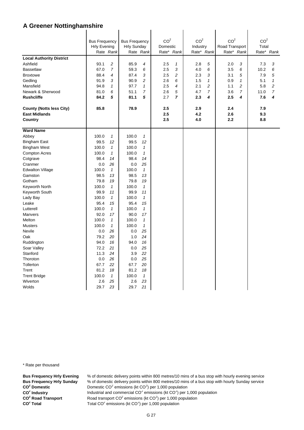|                                 |                                             |                    | <b>Bus Frequency</b> |                    | CO <sup>2</sup>        |                | CO <sup>2</sup>        |                | CO <sup>2</sup>              |                | CO <sup>2</sup> |                |  |
|---------------------------------|---------------------------------------------|--------------------|----------------------|--------------------|------------------------|----------------|------------------------|----------------|------------------------------|----------------|-----------------|----------------|--|
|                                 | <b>Bus Frequency</b><br><b>Hrly Evening</b> |                    | <b>Hrly Sunday</b>   |                    | Domestic<br>Rate* Rank |                | Industry<br>Rate* Rank |                |                              |                | Total           |                |  |
|                                 |                                             | Rate Rank          |                      | Rate Rank          |                        |                |                        |                | Road Transport<br>Rate* Rank |                | Rate* Rank      |                |  |
| <b>Local Authority District</b> |                                             |                    |                      |                    |                        |                |                        |                |                              |                |                 |                |  |
| Ashfield                        | 93.1                                        | $\overline{c}$     | 85.9                 | 4                  | 2.5                    | $\mathbf{1}$   | 2.8                    | 5              | 2.0                          | 3              | 7.3             | 3              |  |
| <b>Bassetlaw</b>                | 67.0                                        | $\overline{7}$     | 59.3                 | 6                  | 2.5                    | 3              | 4.0                    | 6              | 3.5                          | 6              | 10.2            | 6              |  |
| <b>Broxtowe</b>                 | 88.4                                        | $\overline{4}$     | 87.4                 | 3                  | 2.5                    | 2              | 2.3                    | 3              | 3.1                          | 5              | 7.9             | 5              |  |
| Gedling                         | 91.9                                        | 3                  | 90.9                 | 2                  | 2.6                    | 6              | 1.5                    | $\mathbf{1}$   | 0.9                          | $\mathbf{1}$   | 5.1             | $\mathbf{1}$   |  |
| Mansfield                       | 94.8                                        | $\mathcal I$       | 97.7                 | $\mathbf{1}$       | 2.5                    | 4              | 2.1                    | $\overline{c}$ | 1.1                          | 2              | 5.8             | $\overline{c}$ |  |
| Newark & Sherwood               | 81.0                                        | 6                  | 51.1                 | 7                  | 2.6                    | 5              | 4.7                    | $\overline{7}$ | 3.6                          | $\overline{7}$ | 11.0            | $\overline{7}$ |  |
| <b>Rushcliffe</b>               | 84.2                                        | 5                  | 81.1                 | 5                  | 2.7                    | $\overline{ }$ | 2.3                    | 4              | 2.5                          | 4              | 7.6             | 4              |  |
|                                 |                                             |                    |                      |                    |                        |                |                        |                |                              |                |                 |                |  |
| <b>County (Notts less City)</b> | 85.8                                        |                    | 78.9                 |                    | 2.5                    |                | 2.9                    |                | 2.4                          |                | 7.9             |                |  |
| <b>East Midlands</b>            |                                             |                    |                      |                    | 2.5                    |                | 4.2                    |                | 2.6                          |                | 9.3             |                |  |
| Country                         |                                             |                    |                      |                    | 2.5                    |                | 4.0                    |                | 2.2                          |                | 8.8             |                |  |
| <b>Ward Name</b>                |                                             |                    |                      |                    |                        |                |                        |                |                              |                |                 |                |  |
| Abbey                           | 100.0                                       | $\mathbf{1}$       | 100.0                | $\mathbf{1}$       |                        |                |                        |                |                              |                |                 |                |  |
| <b>Bingham East</b>             | 99.5                                        | 12                 | 99.5                 | 12                 |                        |                |                        |                |                              |                |                 |                |  |
| <b>Bingham West</b>             | 100.0                                       | $\mathbf{1}$       | 100.0                | $\mathbf{1}$       |                        |                |                        |                |                              |                |                 |                |  |
| <b>Compton Acres</b>            | 100.0                                       | $\mathcal I$       | 100.0                | $\mathbf{1}$       |                        |                |                        |                |                              |                |                 |                |  |
| Cotgrave                        | 98.4                                        | 14                 | 98.4                 | 14                 |                        |                |                        |                |                              |                |                 |                |  |
| Cranmer                         | 0.0                                         | 26                 | 0.0                  | 25                 |                        |                |                        |                |                              |                |                 |                |  |
| <b>Edwalton Village</b>         | 100.0                                       | $\mathcal I$       | 100.0                | $\mathcal I$       |                        |                |                        |                |                              |                |                 |                |  |
| Gamston                         | 98.5                                        | 13                 | 98.5                 | 13                 |                        |                |                        |                |                              |                |                 |                |  |
| Gotham                          | 79.8                                        | 19                 | 79.8                 | 19                 |                        |                |                        |                |                              |                |                 |                |  |
| Keyworth North                  | 100.0                                       | $\mathbf{1}$       | 100.0                | $\mathbf{1}$       |                        |                |                        |                |                              |                |                 |                |  |
| Keyworth South                  | 99.9                                        | 11                 | 99.9                 | 11                 |                        |                |                        |                |                              |                |                 |                |  |
| Lady Bay                        | 100.0                                       | $\mathcal I$       | 100.0                | $\mathbf{1}$       |                        |                |                        |                |                              |                |                 |                |  |
| Leake                           | 95.4                                        | 15                 | 95.4                 | 15                 |                        |                |                        |                |                              |                |                 |                |  |
| Lutterell<br>Manvers            | 100.0<br>92.0                               | $\mathcal I$<br>17 | 100.0<br>90.0        | $\mathbf{1}$<br>17 |                        |                |                        |                |                              |                |                 |                |  |
| Melton                          | 100.0                                       | $\mathcal I$       | 100.0                | $\mathbf{1}$       |                        |                |                        |                |                              |                |                 |                |  |
| <b>Musters</b>                  | 100.0                                       | $\mathcal I$       | 100.0                | $\mathbf{1}$       |                        |                |                        |                |                              |                |                 |                |  |
| Nevile                          | 0.0                                         | 26                 | 0.0                  | 25                 |                        |                |                        |                |                              |                |                 |                |  |
| Oak                             | 79.2                                        | 20                 | 1.0                  | 24                 |                        |                |                        |                |                              |                |                 |                |  |
| Ruddington                      | 94.0                                        | 16                 | 94.0                 | 16                 |                        |                |                        |                |                              |                |                 |                |  |
| Soar Valley                     | 72.2                                        | 21                 | 0.0                  | 25                 |                        |                |                        |                |                              |                |                 |                |  |
| Stanford                        | 11.3                                        | 24                 | 3.9                  | 22                 |                        |                |                        |                |                              |                |                 |                |  |
| Thoroton                        | 0.0                                         | 26                 | 0.0                  | 25                 |                        |                |                        |                |                              |                |                 |                |  |
| Tollerton                       | 67.7                                        | 22                 | 67.7                 | 20                 |                        |                |                        |                |                              |                |                 |                |  |
| Trent                           | 81.2                                        | 18                 | 81.2                 | 18                 |                        |                |                        |                |                              |                |                 |                |  |
| <b>Trent Bridge</b>             | 100.0                                       | $\mathbf{1}$       | 100.0                | $\mathcal I$       |                        |                |                        |                |                              |                |                 |                |  |
| Wiverton                        | 2.6                                         | 25                 | 2.6                  | 23                 |                        |                |                        |                |                              |                |                 |                |  |
| Wolds                           | 29.7                                        | 23                 | 29.7                 | 21                 |                        |                |                        |                |                              |                |                 |                |  |

\* Rate per thousand

**CO2 CO2 CO<sup>2</sup> Road Transport** CO<sup>2</sup> Total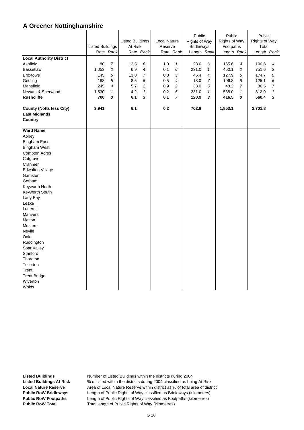|                                                                    | <b>Listed Buildings</b><br>Rate Rank |                | <b>Listed Buildings</b><br>At Risk<br>Rate Rank |                | Local Nature<br>Reserve<br>Rate Rank |                | Public<br>Rights of Way<br><b>Bridleways</b><br>Length Rank |              | Public<br><b>Rights of Way</b><br>Footpaths<br>Length Rank |                | Public<br>Rights of Way<br>Total<br>Length Rank |                |
|--------------------------------------------------------------------|--------------------------------------|----------------|-------------------------------------------------|----------------|--------------------------------------|----------------|-------------------------------------------------------------|--------------|------------------------------------------------------------|----------------|-------------------------------------------------|----------------|
| <b>Local Authority District</b>                                    |                                      |                |                                                 |                |                                      |                |                                                             |              |                                                            |                |                                                 |                |
| Ashfield                                                           | 80                                   | $\overline{7}$ | 12.5                                            | 6              | 1.0                                  | 1              | 23.6                                                        | 6            | 165.6                                                      | 4              | 190.6                                           | 4              |
| <b>Bassetlaw</b>                                                   | 1,053                                | $\overline{c}$ | 6.9                                             | 4              | 0.1                                  | 6              | 231.0                                                       | $\mathbf{1}$ | 450.1                                                      | $\overline{c}$ | 751.6                                           | $\overline{c}$ |
| <b>Broxtowe</b>                                                    | 145                                  | 6              | 13.8                                            | $\overline{7}$ | 0.8                                  | 3              | 45.4                                                        | 4            | 127.9                                                      | 5              | 174.7                                           | 5              |
| Gedling                                                            | 188                                  | 5              | 8.5                                             | 5              | 0.5                                  | 4              | 18.0                                                        | 7            | 106.8                                                      | 6              | 125.1                                           | 6              |
| Mansfield                                                          | 245                                  | $\overline{4}$ | 5.7                                             | 2              | 0.9                                  | $\overline{c}$ | 33.0                                                        | 5            | 48.2                                                       | $\overline{7}$ | 86.5                                            | $\overline{7}$ |
| Newark & Sherwood                                                  | 1,530                                | $\mathbf{1}$   | 4.2                                             | $\mathbf{1}$   | 0.2                                  | 5              | 231.0                                                       | $\mathbf{1}$ | 538.0                                                      | $\mathbf{1}$   | 812.9                                           | $\mathbf{1}$   |
| <b>Rushcliffe</b>                                                  | 700                                  | 3              | 6.1                                             | 3              | 0.1                                  | $\overline{7}$ | 120.9                                                       | 3            | 416.5                                                      | 3              | 560.4                                           | 3              |
|                                                                    |                                      |                |                                                 |                |                                      |                |                                                             |              |                                                            |                |                                                 |                |
| <b>County (Notts less City)</b><br><b>East Midlands</b><br>Country | 3,941                                |                | 6.1                                             |                | 0.2                                  |                | 702.9                                                       |              | 1,853.1                                                    |                | 2,701.8                                         |                |
| <b>Ward Name</b>                                                   |                                      |                |                                                 |                |                                      |                |                                                             |              |                                                            |                |                                                 |                |
| Abbey                                                              |                                      |                |                                                 |                |                                      |                |                                                             |              |                                                            |                |                                                 |                |
| <b>Bingham East</b>                                                |                                      |                |                                                 |                |                                      |                |                                                             |              |                                                            |                |                                                 |                |
| <b>Bingham West</b>                                                |                                      |                |                                                 |                |                                      |                |                                                             |              |                                                            |                |                                                 |                |
| <b>Compton Acres</b>                                               |                                      |                |                                                 |                |                                      |                |                                                             |              |                                                            |                |                                                 |                |
| Cotgrave                                                           |                                      |                |                                                 |                |                                      |                |                                                             |              |                                                            |                |                                                 |                |
| Cranmer                                                            |                                      |                |                                                 |                |                                      |                |                                                             |              |                                                            |                |                                                 |                |
| <b>Edwalton Village</b>                                            |                                      |                |                                                 |                |                                      |                |                                                             |              |                                                            |                |                                                 |                |
| Gamston                                                            |                                      |                |                                                 |                |                                      |                |                                                             |              |                                                            |                |                                                 |                |
| Gotham                                                             |                                      |                |                                                 |                |                                      |                |                                                             |              |                                                            |                |                                                 |                |
| Keyworth North                                                     |                                      |                |                                                 |                |                                      |                |                                                             |              |                                                            |                |                                                 |                |
| Keyworth South                                                     |                                      |                |                                                 |                |                                      |                |                                                             |              |                                                            |                |                                                 |                |
| Lady Bay                                                           |                                      |                |                                                 |                |                                      |                |                                                             |              |                                                            |                |                                                 |                |
| Leake                                                              |                                      |                |                                                 |                |                                      |                |                                                             |              |                                                            |                |                                                 |                |
| Lutterell                                                          |                                      |                |                                                 |                |                                      |                |                                                             |              |                                                            |                |                                                 |                |
| <b>Manvers</b>                                                     |                                      |                |                                                 |                |                                      |                |                                                             |              |                                                            |                |                                                 |                |
| Melton                                                             |                                      |                |                                                 |                |                                      |                |                                                             |              |                                                            |                |                                                 |                |
| <b>Musters</b>                                                     |                                      |                |                                                 |                |                                      |                |                                                             |              |                                                            |                |                                                 |                |
| Nevile                                                             |                                      |                |                                                 |                |                                      |                |                                                             |              |                                                            |                |                                                 |                |
| Oak                                                                |                                      |                |                                                 |                |                                      |                |                                                             |              |                                                            |                |                                                 |                |
| Ruddington                                                         |                                      |                |                                                 |                |                                      |                |                                                             |              |                                                            |                |                                                 |                |
| Soar Valley                                                        |                                      |                |                                                 |                |                                      |                |                                                             |              |                                                            |                |                                                 |                |
| Stanford                                                           |                                      |                |                                                 |                |                                      |                |                                                             |              |                                                            |                |                                                 |                |
| Thoroton                                                           |                                      |                |                                                 |                |                                      |                |                                                             |              |                                                            |                |                                                 |                |
| Tollerton                                                          |                                      |                |                                                 |                |                                      |                |                                                             |              |                                                            |                |                                                 |                |
| Trent                                                              |                                      |                |                                                 |                |                                      |                |                                                             |              |                                                            |                |                                                 |                |
| <b>Trent Bridge</b>                                                |                                      |                |                                                 |                |                                      |                |                                                             |              |                                                            |                |                                                 |                |
| Wiverton                                                           |                                      |                |                                                 |                |                                      |                |                                                             |              |                                                            |                |                                                 |                |
| Wolds                                                              |                                      |                |                                                 |                |                                      |                |                                                             |              |                                                            |                |                                                 |                |